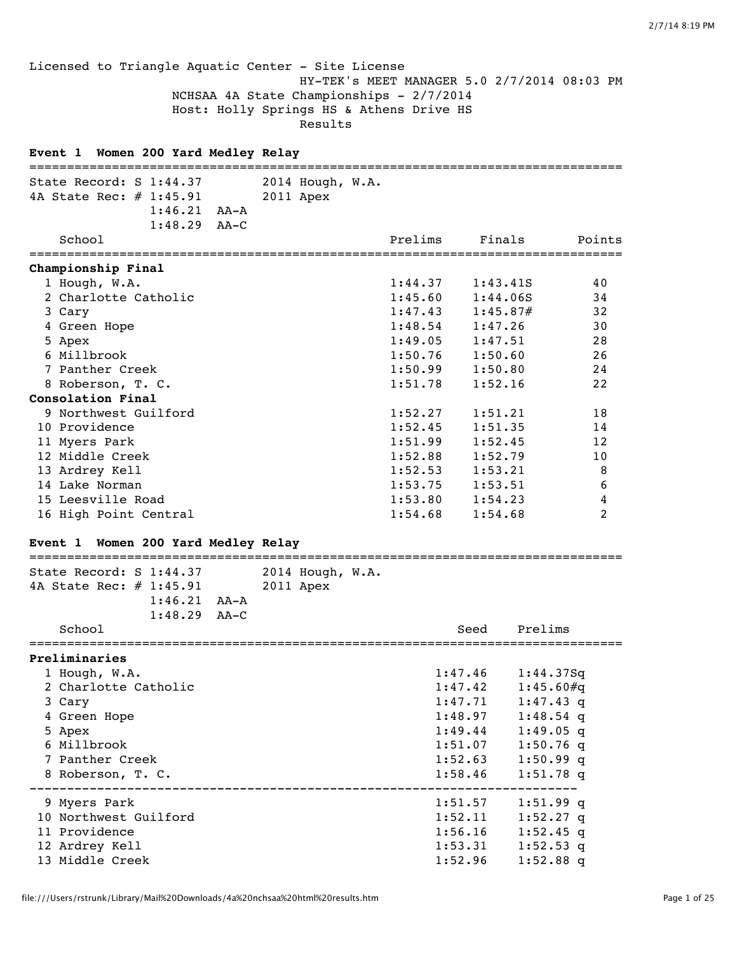Licensed to Triangle Aquatic Center - Site License HY-TEK's MEET MANAGER 5.0 2/7/2014 08:03 PM NCHSAA 4A State Championships - 2/7/2014 Host: Holly Springs HS & Athens Drive HS Results

# **Event 1 Women 200 Yard Medley Relay** =============================================================================== State Record: S 1:44.37 2014 Hough, W.A. 4A State Rec: # 1:45.91 2011 Apex 1:46.21 AA-A 1:48.29 AA-C School Prelims Finals Points =============================================================================== **Championship Final** 1 Hough, W.A. 1:44.37 1:43.41S 40 2 Charlotte Catholic 1:45.60 1:44.06S 34 3 Cary 1:47.43 1:45.87# 32 4 Green Hope 1:48.54 1:47.26 30 5 Apex 1:49.05 1:47.51 28 6 Millbrook 1:50.76 1:50.60 26 7 Panther Creek 1:50.99 1:50.80 24 8 Roberson, T. C. 1:51.78 1:52.16 22 **Consolation Final** 9 Northwest Guilford 1:52.27 1:51.21 18 10 Providence 1:52.45 1:51.35 14 11 Myers Park 1:51.99 1:52.45 12<br>12 Middle Creek 1:52.88 1:52.79 10 12 Middle Creek 1:52.88 1:52.79 10 13 Ardrey Kell 8 and 1:52.53 1:53.21 8 14 Lake Norman 1:53.75 1:53.51 6 15 Leesville Road 1:53.80 1:54.23 4 16 High Point Central 1:54.68 1:54.68 2

### **Event 1 Women 200 Yard Medley Relay**

# =============================================================================== State Record: S 1:44.37 2014 Hough, W.A. 4A State Rec: # 1:45.91 2011 Apex 1:46.21 AA-A 1:48.29 AA-C School Seed Prelims =============================================================================== **Preliminaries** 1 Hough, W.A. 1:47.46 1:44.37Sq 2 Charlotte Catholic 1:47.42 1:45.60#q 3 Cary 1:47.71 1:47.43 q 4 Green Hope 1:48.97 1:48.54 q 5 Apex 1:49.44 1:49.05 q 6 Millbrook 1:51.07 1:50.76 q 7 Panther Creek 1:52.63 1:50.99 q 8 Roberson, T. C. 1:58.46 1:51.78 q ------------------------------------------------------------------------- 9 Myers Park 1:51.57 1:51.99 q 10 Northwest Guilford 1:52.11 1:52.27 q 11 Providence 1:56.16 1:52.45 q 12 Ardrey Kell 1:53.31 1:52.53 q

13 Middle Creek 1:52.96 1:52.88 q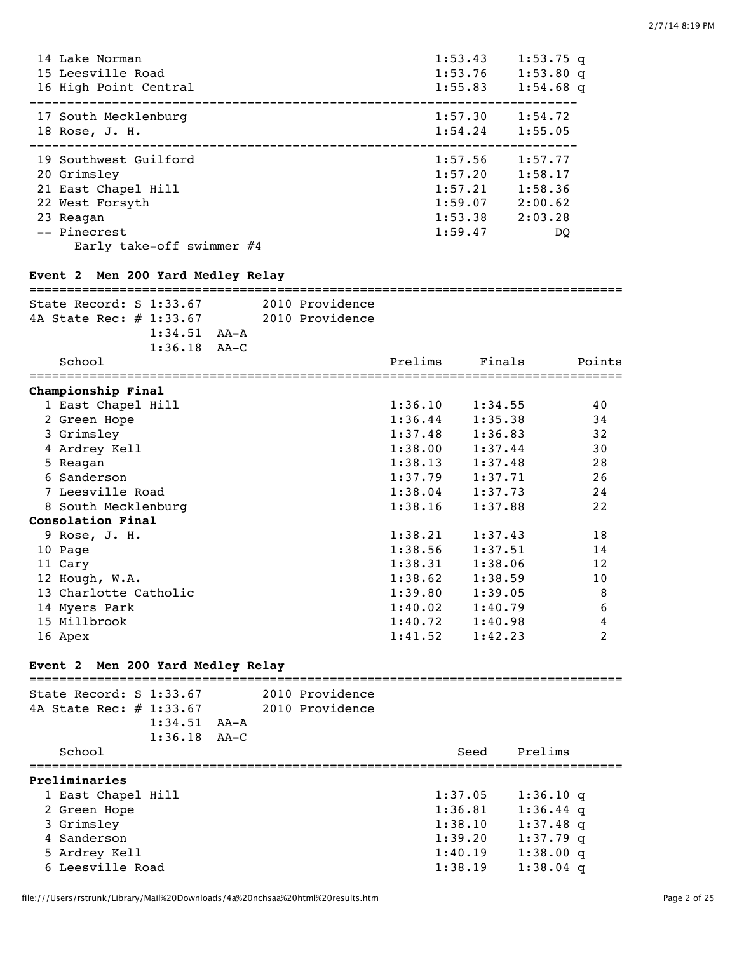| 14 Lake Norman<br>15 Leesville Road<br>16 High Point Central                                                                                                                    | 1:53.43<br>1:53.76<br>1:55.83                       | $1:53.75$ q<br>$1:53.80$ q<br>$1:54.68$ q                              |
|---------------------------------------------------------------------------------------------------------------------------------------------------------------------------------|-----------------------------------------------------|------------------------------------------------------------------------|
| 17 South Mecklenburg<br>18 Rose, J. H.                                                                                                                                          |                                                     | $1:57.30$ $1:54.72$<br>$1:54.24$ $1:55.05$                             |
| 19 Southwest Guilford<br>20 Grimsley<br>21 East Chapel Hill<br>22 West Forsyth<br>23 Reagan<br>-- Pinecrest<br>Early take-off swimmer $#4$<br>Event 2 Men 200 Yard Medley Relay | 1:57.20<br>1:57.21<br>1:59.07<br>1:53.38<br>1:59.47 | $1:57.56$ $1:57.77$<br>1:58.17<br>1:58.36<br>2:00.62<br>2:03.28<br>DO. |
| 2010 Providence<br>State Record: $S$ 1:33.67                                                                                                                                    |                                                     |                                                                        |

| 4A State Rec: # 1:33.67 |  | 2010 Providence |         |         |        |
|-------------------------|--|-----------------|---------|---------|--------|
| $1:34.51$ $AA-A$        |  |                 |         |         |        |
| $1:36.18$ AA-C          |  |                 |         |         |        |
| School                  |  |                 | Prelims | Finals  | Points |
| Championship Final      |  |                 |         |         |        |
| 1 East Chapel Hill      |  |                 | 1:36.10 | 1:34.55 | 40     |
| 2 Green Hope            |  |                 | 1:36.44 | 1:35.38 | 34     |
| 3 Grimsley              |  |                 | 1:37.48 | 1:36.83 | 32     |
| 4 Ardrey Kell           |  |                 | 1:38.00 | 1:37.44 | 30     |
| 5 Reagan                |  |                 | 1:38.13 | 1:37.48 | 28     |
| 6 Sanderson             |  |                 | 1:37.79 | 1:37.71 | 26     |
| 7 Leesville Road        |  |                 | 1:38.04 | 1:37.73 | 24     |
| 8 South Mecklenburg     |  |                 | 1:38.16 | 1:37.88 | 22     |
| Consolation Final       |  |                 |         |         |        |
| $9$ Rose, J. H.         |  |                 | 1:38.21 | 1:37.43 | 18     |
| 10 Page                 |  |                 | 1:38.56 | 1:37.51 | 14     |
| 11 Cary                 |  |                 | 1:38.31 | 1:38.06 | 12     |
| 12 Hough, W.A.          |  |                 | 1:38.62 | 1:38.59 | 10     |
| 13 Charlotte Catholic   |  |                 | 1:39.80 | 1:39.05 | 8      |
| 14 Myers Park           |  |                 | 1:40.02 | 1:40.79 | 6      |
| 15 Millbrook            |  |                 | 1:40.72 | 1:40.98 | 4      |
| 16 Apex                 |  |                 | 1:41.52 | 1:42.23 | 2      |

# **Event 2 Men 200 Yard Medley Relay**

| State Record: $S$ 1:33.67<br>4A State Rec: # 1:33.67 |      | 2010 Providence<br>2010 Providence |         |             |
|------------------------------------------------------|------|------------------------------------|---------|-------------|
|                                                      |      |                                    |         |             |
| 1:34.51                                              | AA-A |                                    |         |             |
| $1:36.18$ $AA-C$                                     |      |                                    |         |             |
| School                                               |      |                                    | Seed    | Prelims     |
| Preliminaries                                        |      |                                    |         |             |
| 1 East Chapel Hill                                   |      |                                    | 1:37.05 | $1:36.10$ q |
| 2 Green Hope                                         |      |                                    | 1:36.81 | $1:36.44$ q |
| 3 Grimsley                                           |      |                                    | 1:38.10 | $1:37.48$ q |
| 4 Sanderson                                          |      |                                    | 1:39.20 | $1:37.79$ q |
| 5 Ardrey Kell                                        |      |                                    | 1:40.19 | $1:38.00$ q |
| 6 Leesville Road                                     |      |                                    | 1:38.19 | $1:38.04$ a |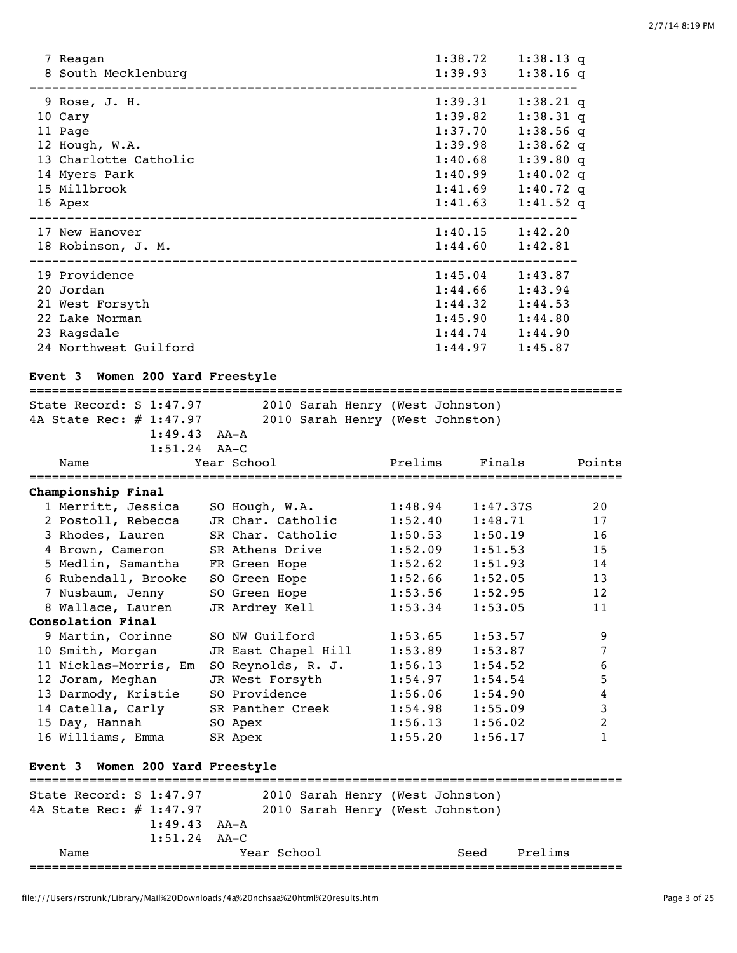| 7 Reagan<br>8 South Mecklenburg                                                                 | 1:38.72<br>1:39.93                                             | $1:38.13$ q<br>$1:38.16$ q                                                          |  |
|-------------------------------------------------------------------------------------------------|----------------------------------------------------------------|-------------------------------------------------------------------------------------|--|
| 9 Rose, J. H.<br>10 Cary<br>11 Page<br>12 Hough, W.A.<br>13 Charlotte Catholic<br>14 Myers Park | 1:39.31<br>1:39.82<br>1:37.70<br>1:39.98<br>1:40.68<br>1:40.99 | $1:38.21$ q<br>$1:38.31$ q<br>$1:38.56$ q<br>$1:38.62$ q<br>1:39.80q<br>$1:40.02$ q |  |
| 15 Millbrook<br>16 Apex                                                                         | 1:41.69<br>1:41.63                                             | $1:40.72$ q<br>$1:41.52$ q                                                          |  |
| 17 New Hanover<br>18 Robinson, J. M.                                                            | 1:40.15<br>1:44.60                                             | 1:42.20<br>1:42.81                                                                  |  |
| 19 Providence<br>20 Jordan<br>21 West Forsyth<br>22 Lake Norman                                 | 1:45.04<br>1:44.66<br>1:44.32<br>1:45.90                       | 1:43.87<br>1:43.94<br>1:44.53<br>1:44.80                                            |  |
| 23 Ragsdale<br>24 Northwest Guilford                                                            | 1:44.74<br>1:44.97                                             | 1:44.90<br>1:45.87                                                                  |  |

#### **Event 3 Women 200 Yard Freestyle**

=============================================================================== State Record: S 1:47.97 2010 Sarah Henry (West Johnston) 4A State Rec: # 1:47.97 2010 Sarah Henry (West Johnston) 1:49.43 AA-A 1:51.24 AA-C Name Year School Prelims Finals Points =============================================================================== **Championship Final** 1 Merritt, Jessica SO Hough, W.A. 1:48.94 1:47.37S 20 2 Postoll, Rebecca JR Char. Catholic 1:52.40 1:48.71 17 3 Rhodes, Lauren SR Char. Catholic 1:50.53 1:50.19 16 4 Brown, Cameron SR Athens Drive 1:52.09 1:51.53 15 5 Medlin, Samantha FR Green Hope 1:52.62 1:51.93 14 6 Rubendall, Brooke SO Green Hope 1:52.66 1:52.05 13 7 Nusbaum, Jenny SO Green Hope 1:53.56 1:52.95 12 8 Wallace, Lauren JR Ardrey Kell 1:53.34 1:53.05 11 **Consolation Final** 9 Martin, Corinne SO NW Guilford 1:53.65 1:53.57 9 10 Smith, Morgan JR East Chapel Hill 1:53.89 1:53.87 7 11 Nicklas-Morris, Em SO Reynolds, R. J. 1:56.13 1:54.52 6 12 Joram, Meghan JR West Forsyth 1:54.97 1:54.54 5 13 Darmody, Kristie SO Providence 1:56.06 1:54.90 4 14 Catella, Carly SR Panther Creek 1:54.98 1:55.09 3 15 Day, Hannah SO Apex 1:56.13 1:56.02 2 16 Williams, Emma SR Apex 1:55.20 1:56.17 1

### **Event 3 Women 200 Yard Freestyle**

| State Record: S 1:47.97 |                                 |             |  | 2010 Sarah Henry (West Johnston) |         |
|-------------------------|---------------------------------|-------------|--|----------------------------------|---------|
| 4A State Rec: # 1:47.97 |                                 |             |  | 2010 Sarah Henry (West Johnston) |         |
|                         | $1:49.43$ $\lambda$ A $\lambda$ |             |  |                                  |         |
|                         | $1:51.24$ $AA-C$                |             |  |                                  |         |
| Name                    |                                 | Year School |  | Seed                             | Prelims |
|                         |                                 |             |  |                                  |         |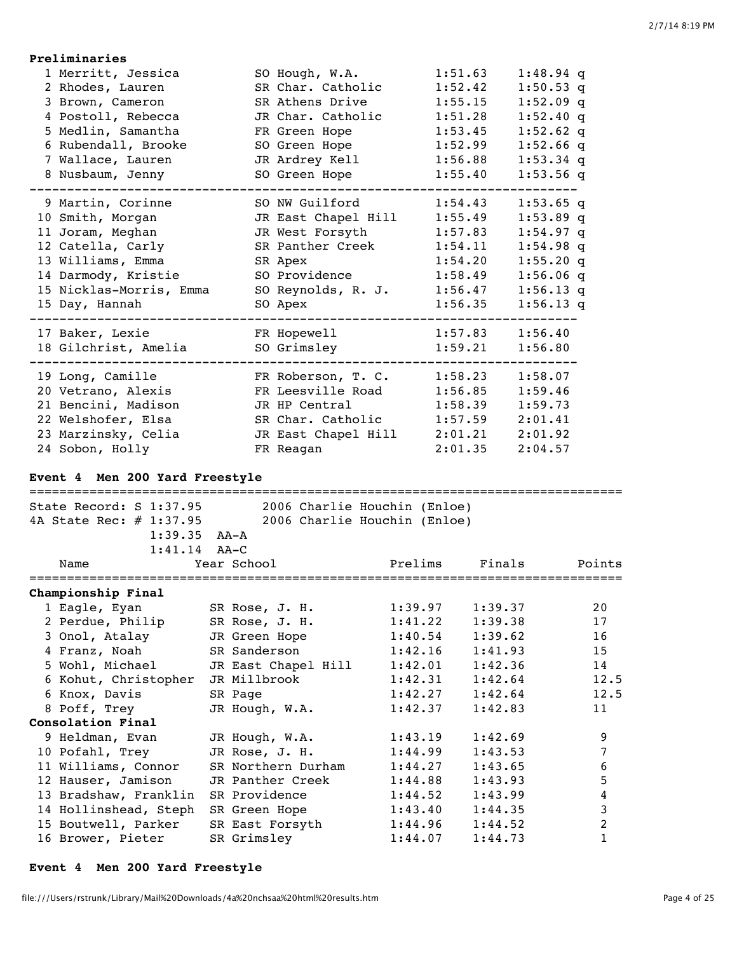| Preliminaries                                             |                                  |                              |                    |                    |                        |
|-----------------------------------------------------------|----------------------------------|------------------------------|--------------------|--------------------|------------------------|
| 1 Merritt, Jessica                                        |                                  | SO Hough, W.A.               |                    | 1:51.63            | $1:48.94$ q            |
| 2 Rhodes, Lauren                                          |                                  | SR Char. Catholic            |                    | 1:52.42            | $1:50.53$ q            |
| 3 Brown, Cameron                                          |                                  | SR Athens Drive              |                    | 1:55.15            | $1:52.09$ q            |
| 4 Postoll, Rebecca                                        |                                  | JR Char. Catholic            |                    | 1:51.28            | $1:52.40$ q            |
| 5 Medlin, Samantha                                        |                                  | FR Green Hope                |                    | 1:53.45            | $1:52.62$ q            |
| 6 Rubendall, Brooke                                       |                                  | SO Green Hope                |                    | 1:52.99            | $1:52.66$ q            |
| 7 Wallace, Lauren                                         |                                  | JR Ardrey Kell               |                    | 1:56.88            | $1:53.34$ q            |
| 8 Nusbaum, Jenny                                          |                                  | SO Green Hope                |                    | 1:55.40            | $1:53.56$ q            |
| 9 Martin, Corinne                                         |                                  | SO NW Guilford               |                    | 1:54.43            | $1:53.65$ q            |
| 10 Smith, Morgan                                          |                                  | JR East Chapel Hill          |                    | 1:55.49            | $1:53.89$ q            |
| 11 Joram, Meghan                                          |                                  | JR West Forsyth              |                    | 1:57.83            | $1:54.97$ q            |
| 12 Catella, Carly                                         |                                  | SR Panther Creek             |                    | 1:54.11            | $1:54.98$ q            |
| 13 Williams, Emma                                         |                                  | SR Apex                      |                    | 1:54.20            | 1:55.20q               |
| 14 Darmody, Kristie                                       |                                  | SO Providence                |                    | 1:58.49            | $1:56.06$ q            |
| 15 Nicklas-Morris, Emma                                   |                                  | SO Reynolds, R. J.           |                    | 1:56.47            | $1:56.13$ q            |
| 15 Day, Hannah                                            |                                  | SO Apex                      |                    | 1:56.35            | $1:56.13$ q            |
| 17 Baker, Lexie                                           |                                  | FR Hopewell                  |                    | 1:57.83            | 1:56.40                |
| 18 Gilchrist, Amelia                                      |                                  | SO Grimsley                  |                    | 1:59.21            | 1:56.80                |
| 19 Long, Camille                                          |                                  | FR Roberson, T. C.           |                    | 1:58.23            | 1:58.07                |
| 20 Vetrano, Alexis                                        |                                  | FR Leesville Road            |                    | 1:56.85            | 1:59.46                |
| 21 Bencini, Madison                                       |                                  | JR HP Central                |                    | 1:58.39            | 1:59.73                |
| 22 Welshofer, Elsa                                        |                                  | SR Char. Catholic            |                    | 1:57.59            | 2:01.41                |
| 23 Marzinsky, Celia                                       |                                  | JR East Chapel Hill          |                    | 2:01.21            | 2:01.92                |
| 24 Sobon, Holly                                           |                                  | FR Reagan                    |                    | 2:01.35            | 2:04.57                |
| Event 4 Men 200 Yard Freestyle<br>State Record: S 1:37.95 |                                  | 2006 Charlie Houchin (Enloe) |                    |                    |                        |
| 4A State Rec: # 1:37.95                                   |                                  | 2006 Charlie Houchin (Enloe) |                    |                    |                        |
| $1:39.35$ AA-A                                            |                                  |                              |                    |                    |                        |
| $1:41.14$ AA-C                                            |                                  |                              |                    |                    |                        |
| Name                                                      | Year School                      |                              | Prelims            | Finals             | Points                 |
|                                                           |                                  |                              |                    |                    | ====================== |
| Championship Final                                        |                                  |                              |                    |                    | 20                     |
| 1 Eagle, Eyan<br>2 Perdue, Philip                         | SR Rose, J. H.                   |                              | 1:39.97<br>1:41.22 | 1:39.37<br>1:39.38 | 17                     |
|                                                           | SR Rose, J. H.                   |                              | 1:40.54            | 1:39.62            | 16                     |
| 3 Onol, Atalay<br>4 Franz, Noah                           | JR Green Hope<br>SR Sanderson    |                              | 1:42.16            | 1:41.93            | 15                     |
| 5 Wohl, Michael                                           |                                  |                              |                    | 1:42.36            | 14                     |
|                                                           | JR Millbrook                     | JR East Chapel Hill          | 1:42.01<br>1:42.31 | 1:42.64            | 12.5                   |
| 6 Kohut, Christopher<br>6 Knox, Davis                     |                                  |                              | 1:42.27            | 1:42.64            | 12.5                   |
| 8 Poff, Trey                                              | SR Page<br>JR Hough, W.A.        |                              | 1:42.37            | 1:42.83            | 11                     |
| Consolation Final                                         |                                  |                              |                    |                    |                        |
| 9 Heldman, Evan                                           |                                  |                              |                    |                    | 9                      |
| 10 Pofahl, Trey                                           | JR Hough, W.A.<br>JR Rose, J. H. |                              | 1:43.19<br>1:44.99 | 1:42.69<br>1:43.53 | 7                      |
| 11 Williams, Connor                                       |                                  | SR Northern Durham           | 1:44.27            | 1:43.65            | 6                      |
| 12 Hauser, Jamison                                        | JR Panther Creek                 |                              | 1:44.88            | 1:43.93            | 5                      |
| 13 Bradshaw, Franklin                                     | SR Providence                    |                              | 1:44.52            | 1:43.99            | $\overline{4}$         |
|                                                           |                                  |                              |                    |                    |                        |
|                                                           |                                  |                              |                    |                    |                        |
| 14 Hollinshead, Steph                                     | SR Green Hope                    |                              | 1:43.40            | 1:44.35            | $\mathfrak{Z}$         |
| 15 Boutwell, Parker<br>16 Brower, Pieter                  | SR East Forsyth<br>SR Grimsley   |                              | 1:44.96<br>1:44.07 | 1:44.52<br>1:44.73 | $\overline{c}$<br>1    |

# **Event 4 Men 200 Yard Freestyle**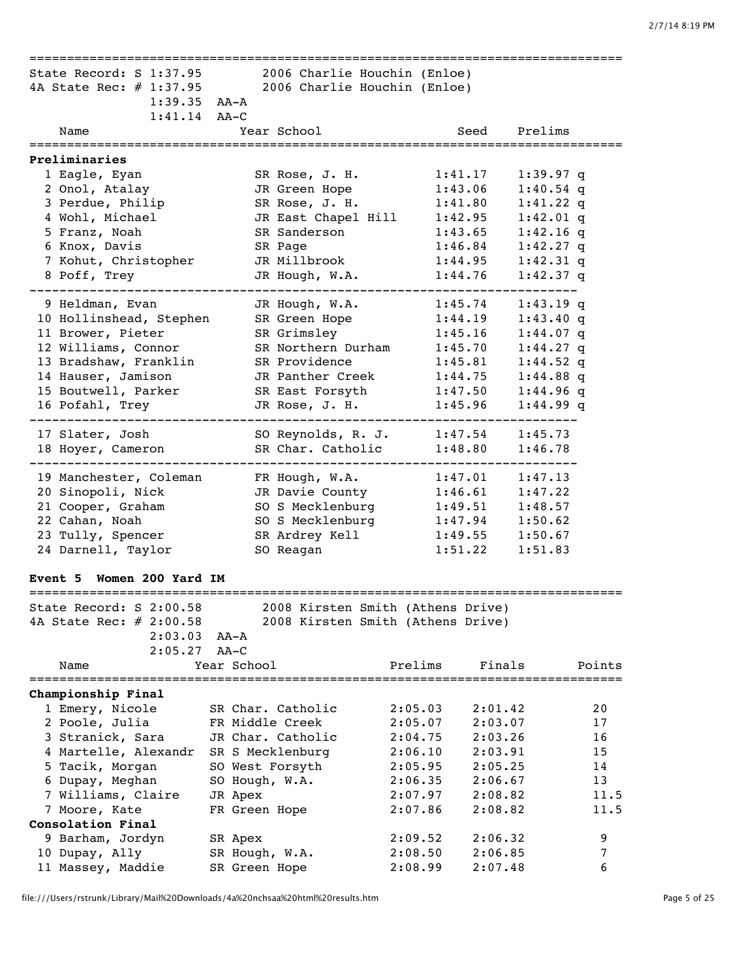|                           |                |                                   | ================================ |                    |               |
|---------------------------|----------------|-----------------------------------|----------------------------------|--------------------|---------------|
| State Record: S 1:37.95   |                | 2006 Charlie Houchin (Enloe)      |                                  |                    |               |
| 4A State Rec: # 1:37.95   |                | 2006 Charlie Houchin (Enloe)      |                                  |                    |               |
| $1:39.35$ AA-A            |                |                                   |                                  |                    |               |
| $1:41.14$ AA-C            |                |                                   |                                  |                    |               |
| Name                      |                | Year School                       |                                  | Prelims<br>Seed    |               |
|                           |                |                                   |                                  |                    | ============= |
| Preliminaries             |                |                                   |                                  |                    |               |
| 1 Eagle, Eyan             |                | SR Rose, J. H.                    | 1:41.17                          | $1:39.97$ q        |               |
| 2 Onol, Atalay            |                | JR Green Hope                     | 1:43.06                          | $1:40.54$ q        |               |
| 3 Perdue, Philip          |                | SR Rose, J. H.                    | 1:41.80                          | $1:41.22$ q        |               |
| 4 Wohl, Michael           |                | JR East Chapel Hill               | 1:42.95                          | $1:42.01$ q        |               |
| 5 Franz, Noah             |                | SR Sanderson                      | 1:43.65                          | $1:42.16$ q        |               |
| 6 Knox, Davis             |                | SR Page                           | 1:46.84                          | $1:42.27$ q        |               |
| 7 Kohut, Christopher      |                | JR Millbrook                      | 1:44.95                          | $1:42.31$ q        |               |
| 8 Poff, Trey              |                | JR Hough, W.A.                    | 1:44.76                          | $1:42.37$ q        |               |
|                           |                |                                   |                                  |                    |               |
| 9 Heldman, Evan           |                | JR Hough, W.A.                    | 1:45.74                          | $1:43.19$ q        |               |
| 10 Hollinshead, Stephen   |                | SR Green Hope                     | 1:44.19                          | 1:43.40q           |               |
| 11 Brower, Pieter         |                | SR Grimsley                       | 1:45.16                          | $1:44.07$ q        |               |
| 12 Williams, Connor       |                | SR Northern Durham                | 1:45.70                          | $1:44.27$ q        |               |
| 13 Bradshaw, Franklin     |                | SR Providence                     | 1:45.81                          | $1:44.52$ q        |               |
| 14 Hauser, Jamison        |                | JR Panther Creek                  | 1:44.75                          | $1:44.88$ q        |               |
| 15 Boutwell, Parker       |                | SR East Forsyth                   | 1:47.50                          | $1:44.96$ q        |               |
| 16 Pofahl, Trey           |                | JR Rose, J. H.                    | 1:45.96                          | $1:44.99$ q        |               |
|                           |                |                                   |                                  |                    |               |
| 17 Slater, Josh           |                | SO Reynolds, R. J.                | 1:47.54                          | 1:45.73            |               |
| 18 Hoyer, Cameron         |                | SR Char. Catholic                 | 1:48.80                          | 1:46.78            |               |
|                           |                |                                   |                                  |                    |               |
| 19 Manchester, Coleman    |                | FR Hough, W.A.                    | 1:47.01                          | 1:47.13            |               |
| 20 Sinopoli, Nick         |                | JR Davie County                   | 1:46.61                          | 1:47.22            |               |
| 21 Cooper, Graham         |                | SO S Mecklenburg                  | 1:49.51                          | 1:48.57            |               |
| 22 Cahan, Noah            |                | SO S Mecklenburg                  | 1:47.94                          | 1:50.62            |               |
| 23 Tully, Spencer         |                | SR Ardrey Kell                    | 1:49.55                          | 1:50.67            |               |
| 24 Darnell, Taylor        |                | SO Reagan                         |                                  | 1:51.22<br>1:51.83 |               |
|                           |                |                                   |                                  |                    |               |
| Event 5 Women 200 Yard IM |                |                                   |                                  |                    |               |
|                           |                |                                   |                                  |                    |               |
| State Record: S 2:00.58   |                | 2008 Kirsten Smith (Athens Drive) |                                  |                    |               |
| 4A State Rec: # 2:00.58   |                | 2008 Kirsten Smith (Athens Drive) |                                  |                    |               |
| $2:03.03$ AA-A            |                |                                   |                                  |                    |               |
| 2:05.27                   | $AA-C$         |                                   | Prelims                          |                    |               |
| Name                      | Year School    |                                   |                                  | Finals             | Points        |
| Championship Final        |                |                                   |                                  |                    |               |
| 1 Emery, Nicole           |                | SR Char. Catholic                 | 2:05.03                          | 2:01.42            | 20            |
| 2 Poole, Julia            |                | FR Middle Creek                   | 2:05.07                          | 2:03.07            | 17            |
|                           |                | JR Char. Catholic                 |                                  |                    | 16            |
| 3 Stranick, Sara          |                |                                   | 2:04.75                          | 2:03.26            | 15            |
| 4 Martelle, Alexandr      |                | SR S Mecklenburg                  | 2:06.10                          | 2:03.91            |               |
| 5 Tacik, Morgan           |                | SO West Forsyth                   | 2:05.95                          | 2:05.25            | 14            |
| 6 Dupay, Meghan           | SO Hough, W.A. |                                   | 2:06.35                          | 2:06.67            | 13            |
| 7 Williams, Claire        | JR Apex        |                                   | 2:07.97                          | 2:08.82            | 11.5          |
| 7 Moore, Kate             | FR Green Hope  |                                   | 2:07.86                          | 2:08.82            | 11.5          |
| Consolation Final         |                |                                   |                                  |                    |               |
| 9 Barham, Jordyn          | SR Apex        |                                   | 2:09.52                          | 2:06.32            | 9             |
| 10 Dupay, Ally            | SR Hough, W.A. |                                   | 2:08.50                          | 2:06.85            | 7             |
| 11 Massey, Maddie         | SR Green Hope  |                                   | 2:08.99                          | 2:07.48            | 6             |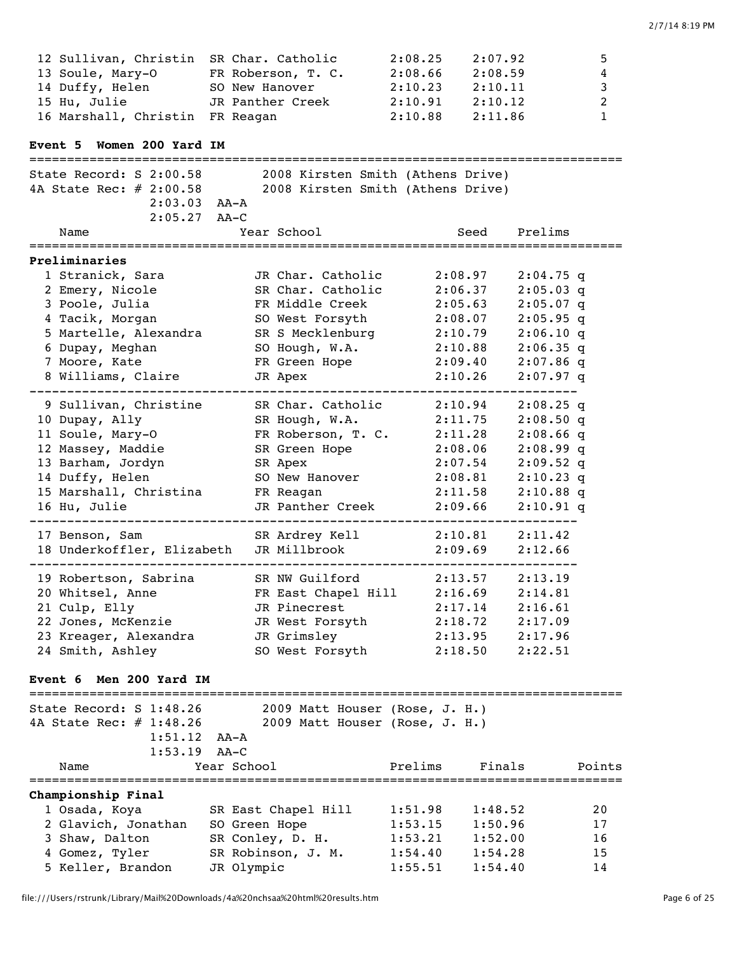| 12 Sullivan, Christin SR Char. Catholic |                    | 2:08.25 | 2:07.92 | 5 |
|-----------------------------------------|--------------------|---------|---------|---|
| 13 Soule, Mary-O                        | FR Roberson, T. C. | 2:08.66 | 2:08.59 | 4 |
| 14 Duffy, Helen                         | SO New Hanover     | 2:10.23 | 2:10.11 | 3 |
| 15 Hu, Julie                            | JR Panther Creek   | 2:10.91 | 2:10.12 | 2 |
| 16 Marshall, Christin FR Reagan         |                    | 2:10.88 | 2:11.86 | 1 |

## **Event 5 Women 200 Yard IM**

=============================================================================== State Record: S 2:00.58 2008 Kirsten Smith (Athens Drive) 4A State Rec: # 2:00.58 2008 Kirsten Smith (Athens Drive) 2:03.03 AA-A 2:05.27 AA-C Name The Year School Seed Prelims =============================================================================== **Preliminaries** 1 Stranick, Sara JR Char. Catholic 2:08.97 2:04.75 q 2 Emery, Nicole SR Char. Catholic 2:06.37 2:05.03 q 3 Poole, Julia FR Middle Creek 2:05.63 2:05.07 q 4 Tacik, Morgan SO West Forsyth 2:08.07 2:05.95 q 5 Martelle, Alexandra SR S Mecklenburg 2:10.79 2:06.10 q 6 Dupay, Meghan SO Hough, W.A. 2:10.88 2:06.35 q 7 Moore, Kate FR Green Hope 2:09.40 2:07.86 q 8 Williams, Claire JR Apex 2:10.26 2:07.97 q ------------------------------------------------------------------------- 9 Sullivan, Christine SR Char. Catholic 2:10.94 2:08.25 q 10 Dupay, Ally SR Hough, W.A. 2:11.75 2:08.50 q 11 Soule, Mary-O FR Roberson, T. C. 2:11.28 2:08.66 q 12 Massey, Maddie SR Green Hope 2:08.06 2:08.99 q 13 Barham, Jordyn SR Apex 2:07.54 2:09.52 q 14 Duffy, Helen SO New Hanover 2:08.81 2:10.23 q 15 Marshall, Christina FR Reagan 2:11.58 2:10.88 q 16 Hu, Julie JR Panther Creek 2:09.66 2:10.91 q ------------------------------------------------------------------------- 17 Benson, Sam SR Ardrey Kell 2:10.81 2:11.42 18 Underkoffler, Elizabeth JR Millbrook 2:09.69 2:12.66 ------------------------------------------------------------------------- 19 Robertson, Sabrina SR NW Guilford 2:13.57 2:13.19 20 Whitsel, Anne FR East Chapel Hill 2:16.69 2:14.81 21 Culp, Elly JR Pinecrest 2:17.14 2:16.61 22 Jones, McKenzie JR West Forsyth 2:18.72 2:17.09 23 Kreager, Alexandra JR Grimsley 2:13.95 2:17.96 24 Smith, Ashley SO West Forsyth 2:18.50 2:22.51

### **Event 6 Men 200 Yard IM**

=============================================================================== State Record: S 1:48.26 2009 Matt Houser (Rose, J. H.) 4A State Rec: # 1:48.26 2009 Matt Houser (Rose, J. H.) 1:51.12 AA-A 1:53.19 AA-C Name The Control of the Manuel Control of Prelims Finals Points =============================================================================== **Championship Final** 1 Osada, Koya SR East Chapel Hill 1:51.98 1:48.52 20 2 Glavich, Jonathan SO Green Hope 1:53.15 1:50.96 17 3 Shaw, Dalton SR Conley, D. H. 1:53.21 1:52.00 16 4 Gomez, Tyler SR Robinson, J. M. 1:54.40 1:54.28 15 5 Keller, Brandon JR Olympic 1:55.51 1:54.40 14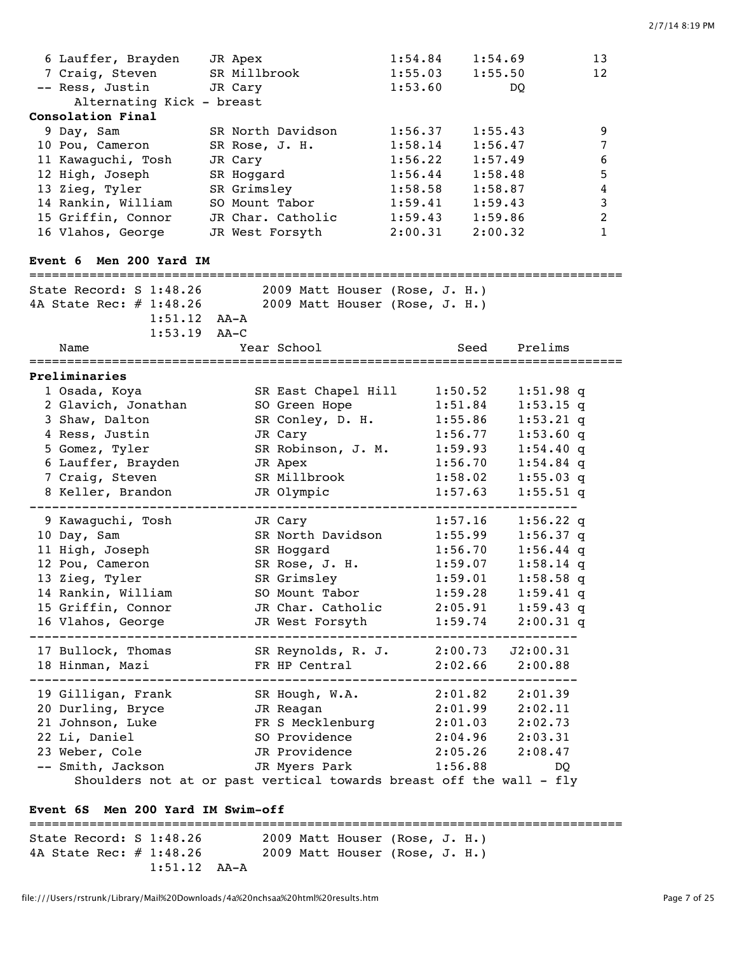| 6 Lauffer, Brayden<br>1:54.84<br>1:54.69<br>13<br>JR Apex<br>7 Craig, Steven<br>SR Millbrook<br>1:55.03<br>12<br>1:55.50<br>-- Ress, Justin<br>1:53.60<br>JR Cary<br>DO.<br>Alternating Kick - breast<br>Consolation Final<br>9 Day, Sam<br>SR North Davidson<br>1:56.37<br>1:55.43<br>9<br>1:58.14<br>10 Pou, Cameron<br>SR Rose, J. H.<br>1:56.47<br>7<br>1:56.22<br>6<br>11 Kawaguchi, Tosh<br>JR Cary<br>1:57.49<br>1:56.44<br>12 High, Joseph<br>5<br>SR Hoggard<br>1:58.48<br>13 Zieg, Tyler<br>1:58.58<br>SR Grimsley<br>$\overline{4}$<br>1:58.87<br>1:59.41<br>14 Rankin, William<br>$\ensuremath{\mathsf{3}}$<br>SO Mount Tabor<br>1:59.43<br>1:59.43<br>JR Char. Catholic<br>$\boldsymbol{2}$<br>15 Griffin, Connor<br>1:59.86<br>2:00.31<br>16 Vlahos, George<br>JR West Forsyth<br>$\mathbf{1}$<br>2:00.32<br>Men 200 Yard IM<br><b>Event 6</b><br>===============================<br>State Record: S 1:48.26<br>2009 Matt Houser (Rose, J. H.)<br>4A State Rec: # 1:48.26<br>2009 Matt Houser (Rose, J. H.)<br>$1:51.12$ $AA-A$<br>$1:53.19$ AA-C<br>Year School<br>Prelims<br>Seed<br>Name<br>Preliminaries<br>1 Osada, Koya<br>SR East Chapel Hill<br>1:50.52<br>$1:51.98$ q<br>2 Glavich, Jonathan<br>SO Green Hope<br>1:51.84<br>$1:53.15$ q<br>SR Conley, D. H.<br>3 Shaw, Dalton<br>1:55.86<br>$1:53.21$ q<br>4 Ress, Justin<br>JR Cary<br>1:56.77<br>1:53.60q<br>5 Gomez, Tyler<br>SR Robinson, J. M.<br>1:59.93<br>$1:54.40$ q<br>6 Lauffer, Brayden<br>JR Apex<br>1:56.70<br>$1:54.84$ q<br>7 Craig, Steven<br>SR Millbrook<br>1:58.02<br>$1:55.03$ q<br>8 Keller, Brandon<br>JR Olympic<br>$1:55.51$ q<br>1:57.63<br>9 Kawaguchi, Tosh<br>1:57.16<br>$1:56.22$ q<br>JR Cary<br>SR North Davidson<br>10 Day, Sam<br>$1:56.37$ q<br>1:55.99<br>11 High, Joseph<br>$1:56.44$ q<br>SR Hoggard<br>1:56.70<br>1:59.07<br>12 Pou, Cameron<br>SR Rose, J. H.<br>$1:58.14$ q<br>1:59.01<br>13 Zieg, Tyler<br>SR Grimsley<br>$1:58.58$ q<br>1:59.28<br>14 Rankin, William<br>SO Mount Tabor<br>$1:59.41$ q<br>JR Char. Catholic 2:05.91<br>15 Griffin, Connor<br>$1:59.43$ q<br>1:59.74<br>JR West Forsyth<br>16 Vlahos, George<br>$2:00.31$ q<br>--------------------------<br>17 Bullock, Thomas SR Reynolds, R. J. 2:00.73 J2:00.31<br>2:02.66<br>18 Hinman, Mazi<br>2:00.88<br>FR HP Central<br>-----------------------------<br>19 Gilligan, Frank SR Hough, W.A. 2:01.82 2:01.39<br>2:01.99<br>20 Durling, Bryce<br>JR Reagan<br>2:02.11<br>2:01.03<br>FR S Mecklenburg<br>21 Johnson, Luke<br>2:02.73<br>2:04.96<br>22 Li, Daniel<br>SO Providence<br>2:03.31<br>2:05.26<br>23 Weber, Cole<br>JR Providence<br>2:08.47 |  |  |  |  |  |
|---------------------------------------------------------------------------------------------------------------------------------------------------------------------------------------------------------------------------------------------------------------------------------------------------------------------------------------------------------------------------------------------------------------------------------------------------------------------------------------------------------------------------------------------------------------------------------------------------------------------------------------------------------------------------------------------------------------------------------------------------------------------------------------------------------------------------------------------------------------------------------------------------------------------------------------------------------------------------------------------------------------------------------------------------------------------------------------------------------------------------------------------------------------------------------------------------------------------------------------------------------------------------------------------------------------------------------------------------------------------------------------------------------------------------------------------------------------------------------------------------------------------------------------------------------------------------------------------------------------------------------------------------------------------------------------------------------------------------------------------------------------------------------------------------------------------------------------------------------------------------------------------------------------------------------------------------------------------------------------------------------------------------------------------------------------------------------------------------------------------------------------------------------------------------------------------------------------------------------------------------------------------------------------------------------------------------------------------------------------------------------------------------------------------------------------------------------------------------------------------------------------------------------------------------------------------------------------------------------------------------------------------|--|--|--|--|--|
|                                                                                                                                                                                                                                                                                                                                                                                                                                                                                                                                                                                                                                                                                                                                                                                                                                                                                                                                                                                                                                                                                                                                                                                                                                                                                                                                                                                                                                                                                                                                                                                                                                                                                                                                                                                                                                                                                                                                                                                                                                                                                                                                                                                                                                                                                                                                                                                                                                                                                                                                                                                                                                             |  |  |  |  |  |
|                                                                                                                                                                                                                                                                                                                                                                                                                                                                                                                                                                                                                                                                                                                                                                                                                                                                                                                                                                                                                                                                                                                                                                                                                                                                                                                                                                                                                                                                                                                                                                                                                                                                                                                                                                                                                                                                                                                                                                                                                                                                                                                                                                                                                                                                                                                                                                                                                                                                                                                                                                                                                                             |  |  |  |  |  |
|                                                                                                                                                                                                                                                                                                                                                                                                                                                                                                                                                                                                                                                                                                                                                                                                                                                                                                                                                                                                                                                                                                                                                                                                                                                                                                                                                                                                                                                                                                                                                                                                                                                                                                                                                                                                                                                                                                                                                                                                                                                                                                                                                                                                                                                                                                                                                                                                                                                                                                                                                                                                                                             |  |  |  |  |  |
|                                                                                                                                                                                                                                                                                                                                                                                                                                                                                                                                                                                                                                                                                                                                                                                                                                                                                                                                                                                                                                                                                                                                                                                                                                                                                                                                                                                                                                                                                                                                                                                                                                                                                                                                                                                                                                                                                                                                                                                                                                                                                                                                                                                                                                                                                                                                                                                                                                                                                                                                                                                                                                             |  |  |  |  |  |
|                                                                                                                                                                                                                                                                                                                                                                                                                                                                                                                                                                                                                                                                                                                                                                                                                                                                                                                                                                                                                                                                                                                                                                                                                                                                                                                                                                                                                                                                                                                                                                                                                                                                                                                                                                                                                                                                                                                                                                                                                                                                                                                                                                                                                                                                                                                                                                                                                                                                                                                                                                                                                                             |  |  |  |  |  |
|                                                                                                                                                                                                                                                                                                                                                                                                                                                                                                                                                                                                                                                                                                                                                                                                                                                                                                                                                                                                                                                                                                                                                                                                                                                                                                                                                                                                                                                                                                                                                                                                                                                                                                                                                                                                                                                                                                                                                                                                                                                                                                                                                                                                                                                                                                                                                                                                                                                                                                                                                                                                                                             |  |  |  |  |  |
|                                                                                                                                                                                                                                                                                                                                                                                                                                                                                                                                                                                                                                                                                                                                                                                                                                                                                                                                                                                                                                                                                                                                                                                                                                                                                                                                                                                                                                                                                                                                                                                                                                                                                                                                                                                                                                                                                                                                                                                                                                                                                                                                                                                                                                                                                                                                                                                                                                                                                                                                                                                                                                             |  |  |  |  |  |
|                                                                                                                                                                                                                                                                                                                                                                                                                                                                                                                                                                                                                                                                                                                                                                                                                                                                                                                                                                                                                                                                                                                                                                                                                                                                                                                                                                                                                                                                                                                                                                                                                                                                                                                                                                                                                                                                                                                                                                                                                                                                                                                                                                                                                                                                                                                                                                                                                                                                                                                                                                                                                                             |  |  |  |  |  |
|                                                                                                                                                                                                                                                                                                                                                                                                                                                                                                                                                                                                                                                                                                                                                                                                                                                                                                                                                                                                                                                                                                                                                                                                                                                                                                                                                                                                                                                                                                                                                                                                                                                                                                                                                                                                                                                                                                                                                                                                                                                                                                                                                                                                                                                                                                                                                                                                                                                                                                                                                                                                                                             |  |  |  |  |  |
|                                                                                                                                                                                                                                                                                                                                                                                                                                                                                                                                                                                                                                                                                                                                                                                                                                                                                                                                                                                                                                                                                                                                                                                                                                                                                                                                                                                                                                                                                                                                                                                                                                                                                                                                                                                                                                                                                                                                                                                                                                                                                                                                                                                                                                                                                                                                                                                                                                                                                                                                                                                                                                             |  |  |  |  |  |
|                                                                                                                                                                                                                                                                                                                                                                                                                                                                                                                                                                                                                                                                                                                                                                                                                                                                                                                                                                                                                                                                                                                                                                                                                                                                                                                                                                                                                                                                                                                                                                                                                                                                                                                                                                                                                                                                                                                                                                                                                                                                                                                                                                                                                                                                                                                                                                                                                                                                                                                                                                                                                                             |  |  |  |  |  |
|                                                                                                                                                                                                                                                                                                                                                                                                                                                                                                                                                                                                                                                                                                                                                                                                                                                                                                                                                                                                                                                                                                                                                                                                                                                                                                                                                                                                                                                                                                                                                                                                                                                                                                                                                                                                                                                                                                                                                                                                                                                                                                                                                                                                                                                                                                                                                                                                                                                                                                                                                                                                                                             |  |  |  |  |  |
|                                                                                                                                                                                                                                                                                                                                                                                                                                                                                                                                                                                                                                                                                                                                                                                                                                                                                                                                                                                                                                                                                                                                                                                                                                                                                                                                                                                                                                                                                                                                                                                                                                                                                                                                                                                                                                                                                                                                                                                                                                                                                                                                                                                                                                                                                                                                                                                                                                                                                                                                                                                                                                             |  |  |  |  |  |
|                                                                                                                                                                                                                                                                                                                                                                                                                                                                                                                                                                                                                                                                                                                                                                                                                                                                                                                                                                                                                                                                                                                                                                                                                                                                                                                                                                                                                                                                                                                                                                                                                                                                                                                                                                                                                                                                                                                                                                                                                                                                                                                                                                                                                                                                                                                                                                                                                                                                                                                                                                                                                                             |  |  |  |  |  |
|                                                                                                                                                                                                                                                                                                                                                                                                                                                                                                                                                                                                                                                                                                                                                                                                                                                                                                                                                                                                                                                                                                                                                                                                                                                                                                                                                                                                                                                                                                                                                                                                                                                                                                                                                                                                                                                                                                                                                                                                                                                                                                                                                                                                                                                                                                                                                                                                                                                                                                                                                                                                                                             |  |  |  |  |  |
|                                                                                                                                                                                                                                                                                                                                                                                                                                                                                                                                                                                                                                                                                                                                                                                                                                                                                                                                                                                                                                                                                                                                                                                                                                                                                                                                                                                                                                                                                                                                                                                                                                                                                                                                                                                                                                                                                                                                                                                                                                                                                                                                                                                                                                                                                                                                                                                                                                                                                                                                                                                                                                             |  |  |  |  |  |
|                                                                                                                                                                                                                                                                                                                                                                                                                                                                                                                                                                                                                                                                                                                                                                                                                                                                                                                                                                                                                                                                                                                                                                                                                                                                                                                                                                                                                                                                                                                                                                                                                                                                                                                                                                                                                                                                                                                                                                                                                                                                                                                                                                                                                                                                                                                                                                                                                                                                                                                                                                                                                                             |  |  |  |  |  |
|                                                                                                                                                                                                                                                                                                                                                                                                                                                                                                                                                                                                                                                                                                                                                                                                                                                                                                                                                                                                                                                                                                                                                                                                                                                                                                                                                                                                                                                                                                                                                                                                                                                                                                                                                                                                                                                                                                                                                                                                                                                                                                                                                                                                                                                                                                                                                                                                                                                                                                                                                                                                                                             |  |  |  |  |  |
|                                                                                                                                                                                                                                                                                                                                                                                                                                                                                                                                                                                                                                                                                                                                                                                                                                                                                                                                                                                                                                                                                                                                                                                                                                                                                                                                                                                                                                                                                                                                                                                                                                                                                                                                                                                                                                                                                                                                                                                                                                                                                                                                                                                                                                                                                                                                                                                                                                                                                                                                                                                                                                             |  |  |  |  |  |
|                                                                                                                                                                                                                                                                                                                                                                                                                                                                                                                                                                                                                                                                                                                                                                                                                                                                                                                                                                                                                                                                                                                                                                                                                                                                                                                                                                                                                                                                                                                                                                                                                                                                                                                                                                                                                                                                                                                                                                                                                                                                                                                                                                                                                                                                                                                                                                                                                                                                                                                                                                                                                                             |  |  |  |  |  |
|                                                                                                                                                                                                                                                                                                                                                                                                                                                                                                                                                                                                                                                                                                                                                                                                                                                                                                                                                                                                                                                                                                                                                                                                                                                                                                                                                                                                                                                                                                                                                                                                                                                                                                                                                                                                                                                                                                                                                                                                                                                                                                                                                                                                                                                                                                                                                                                                                                                                                                                                                                                                                                             |  |  |  |  |  |
|                                                                                                                                                                                                                                                                                                                                                                                                                                                                                                                                                                                                                                                                                                                                                                                                                                                                                                                                                                                                                                                                                                                                                                                                                                                                                                                                                                                                                                                                                                                                                                                                                                                                                                                                                                                                                                                                                                                                                                                                                                                                                                                                                                                                                                                                                                                                                                                                                                                                                                                                                                                                                                             |  |  |  |  |  |
|                                                                                                                                                                                                                                                                                                                                                                                                                                                                                                                                                                                                                                                                                                                                                                                                                                                                                                                                                                                                                                                                                                                                                                                                                                                                                                                                                                                                                                                                                                                                                                                                                                                                                                                                                                                                                                                                                                                                                                                                                                                                                                                                                                                                                                                                                                                                                                                                                                                                                                                                                                                                                                             |  |  |  |  |  |
|                                                                                                                                                                                                                                                                                                                                                                                                                                                                                                                                                                                                                                                                                                                                                                                                                                                                                                                                                                                                                                                                                                                                                                                                                                                                                                                                                                                                                                                                                                                                                                                                                                                                                                                                                                                                                                                                                                                                                                                                                                                                                                                                                                                                                                                                                                                                                                                                                                                                                                                                                                                                                                             |  |  |  |  |  |
|                                                                                                                                                                                                                                                                                                                                                                                                                                                                                                                                                                                                                                                                                                                                                                                                                                                                                                                                                                                                                                                                                                                                                                                                                                                                                                                                                                                                                                                                                                                                                                                                                                                                                                                                                                                                                                                                                                                                                                                                                                                                                                                                                                                                                                                                                                                                                                                                                                                                                                                                                                                                                                             |  |  |  |  |  |
|                                                                                                                                                                                                                                                                                                                                                                                                                                                                                                                                                                                                                                                                                                                                                                                                                                                                                                                                                                                                                                                                                                                                                                                                                                                                                                                                                                                                                                                                                                                                                                                                                                                                                                                                                                                                                                                                                                                                                                                                                                                                                                                                                                                                                                                                                                                                                                                                                                                                                                                                                                                                                                             |  |  |  |  |  |
|                                                                                                                                                                                                                                                                                                                                                                                                                                                                                                                                                                                                                                                                                                                                                                                                                                                                                                                                                                                                                                                                                                                                                                                                                                                                                                                                                                                                                                                                                                                                                                                                                                                                                                                                                                                                                                                                                                                                                                                                                                                                                                                                                                                                                                                                                                                                                                                                                                                                                                                                                                                                                                             |  |  |  |  |  |
|                                                                                                                                                                                                                                                                                                                                                                                                                                                                                                                                                                                                                                                                                                                                                                                                                                                                                                                                                                                                                                                                                                                                                                                                                                                                                                                                                                                                                                                                                                                                                                                                                                                                                                                                                                                                                                                                                                                                                                                                                                                                                                                                                                                                                                                                                                                                                                                                                                                                                                                                                                                                                                             |  |  |  |  |  |
|                                                                                                                                                                                                                                                                                                                                                                                                                                                                                                                                                                                                                                                                                                                                                                                                                                                                                                                                                                                                                                                                                                                                                                                                                                                                                                                                                                                                                                                                                                                                                                                                                                                                                                                                                                                                                                                                                                                                                                                                                                                                                                                                                                                                                                                                                                                                                                                                                                                                                                                                                                                                                                             |  |  |  |  |  |
|                                                                                                                                                                                                                                                                                                                                                                                                                                                                                                                                                                                                                                                                                                                                                                                                                                                                                                                                                                                                                                                                                                                                                                                                                                                                                                                                                                                                                                                                                                                                                                                                                                                                                                                                                                                                                                                                                                                                                                                                                                                                                                                                                                                                                                                                                                                                                                                                                                                                                                                                                                                                                                             |  |  |  |  |  |
|                                                                                                                                                                                                                                                                                                                                                                                                                                                                                                                                                                                                                                                                                                                                                                                                                                                                                                                                                                                                                                                                                                                                                                                                                                                                                                                                                                                                                                                                                                                                                                                                                                                                                                                                                                                                                                                                                                                                                                                                                                                                                                                                                                                                                                                                                                                                                                                                                                                                                                                                                                                                                                             |  |  |  |  |  |
|                                                                                                                                                                                                                                                                                                                                                                                                                                                                                                                                                                                                                                                                                                                                                                                                                                                                                                                                                                                                                                                                                                                                                                                                                                                                                                                                                                                                                                                                                                                                                                                                                                                                                                                                                                                                                                                                                                                                                                                                                                                                                                                                                                                                                                                                                                                                                                                                                                                                                                                                                                                                                                             |  |  |  |  |  |
|                                                                                                                                                                                                                                                                                                                                                                                                                                                                                                                                                                                                                                                                                                                                                                                                                                                                                                                                                                                                                                                                                                                                                                                                                                                                                                                                                                                                                                                                                                                                                                                                                                                                                                                                                                                                                                                                                                                                                                                                                                                                                                                                                                                                                                                                                                                                                                                                                                                                                                                                                                                                                                             |  |  |  |  |  |
|                                                                                                                                                                                                                                                                                                                                                                                                                                                                                                                                                                                                                                                                                                                                                                                                                                                                                                                                                                                                                                                                                                                                                                                                                                                                                                                                                                                                                                                                                                                                                                                                                                                                                                                                                                                                                                                                                                                                                                                                                                                                                                                                                                                                                                                                                                                                                                                                                                                                                                                                                                                                                                             |  |  |  |  |  |
|                                                                                                                                                                                                                                                                                                                                                                                                                                                                                                                                                                                                                                                                                                                                                                                                                                                                                                                                                                                                                                                                                                                                                                                                                                                                                                                                                                                                                                                                                                                                                                                                                                                                                                                                                                                                                                                                                                                                                                                                                                                                                                                                                                                                                                                                                                                                                                                                                                                                                                                                                                                                                                             |  |  |  |  |  |
|                                                                                                                                                                                                                                                                                                                                                                                                                                                                                                                                                                                                                                                                                                                                                                                                                                                                                                                                                                                                                                                                                                                                                                                                                                                                                                                                                                                                                                                                                                                                                                                                                                                                                                                                                                                                                                                                                                                                                                                                                                                                                                                                                                                                                                                                                                                                                                                                                                                                                                                                                                                                                                             |  |  |  |  |  |
|                                                                                                                                                                                                                                                                                                                                                                                                                                                                                                                                                                                                                                                                                                                                                                                                                                                                                                                                                                                                                                                                                                                                                                                                                                                                                                                                                                                                                                                                                                                                                                                                                                                                                                                                                                                                                                                                                                                                                                                                                                                                                                                                                                                                                                                                                                                                                                                                                                                                                                                                                                                                                                             |  |  |  |  |  |
|                                                                                                                                                                                                                                                                                                                                                                                                                                                                                                                                                                                                                                                                                                                                                                                                                                                                                                                                                                                                                                                                                                                                                                                                                                                                                                                                                                                                                                                                                                                                                                                                                                                                                                                                                                                                                                                                                                                                                                                                                                                                                                                                                                                                                                                                                                                                                                                                                                                                                                                                                                                                                                             |  |  |  |  |  |
|                                                                                                                                                                                                                                                                                                                                                                                                                                                                                                                                                                                                                                                                                                                                                                                                                                                                                                                                                                                                                                                                                                                                                                                                                                                                                                                                                                                                                                                                                                                                                                                                                                                                                                                                                                                                                                                                                                                                                                                                                                                                                                                                                                                                                                                                                                                                                                                                                                                                                                                                                                                                                                             |  |  |  |  |  |
|                                                                                                                                                                                                                                                                                                                                                                                                                                                                                                                                                                                                                                                                                                                                                                                                                                                                                                                                                                                                                                                                                                                                                                                                                                                                                                                                                                                                                                                                                                                                                                                                                                                                                                                                                                                                                                                                                                                                                                                                                                                                                                                                                                                                                                                                                                                                                                                                                                                                                                                                                                                                                                             |  |  |  |  |  |
|                                                                                                                                                                                                                                                                                                                                                                                                                                                                                                                                                                                                                                                                                                                                                                                                                                                                                                                                                                                                                                                                                                                                                                                                                                                                                                                                                                                                                                                                                                                                                                                                                                                                                                                                                                                                                                                                                                                                                                                                                                                                                                                                                                                                                                                                                                                                                                                                                                                                                                                                                                                                                                             |  |  |  |  |  |
|                                                                                                                                                                                                                                                                                                                                                                                                                                                                                                                                                                                                                                                                                                                                                                                                                                                                                                                                                                                                                                                                                                                                                                                                                                                                                                                                                                                                                                                                                                                                                                                                                                                                                                                                                                                                                                                                                                                                                                                                                                                                                                                                                                                                                                                                                                                                                                                                                                                                                                                                                                                                                                             |  |  |  |  |  |
|                                                                                                                                                                                                                                                                                                                                                                                                                                                                                                                                                                                                                                                                                                                                                                                                                                                                                                                                                                                                                                                                                                                                                                                                                                                                                                                                                                                                                                                                                                                                                                                                                                                                                                                                                                                                                                                                                                                                                                                                                                                                                                                                                                                                                                                                                                                                                                                                                                                                                                                                                                                                                                             |  |  |  |  |  |
|                                                                                                                                                                                                                                                                                                                                                                                                                                                                                                                                                                                                                                                                                                                                                                                                                                                                                                                                                                                                                                                                                                                                                                                                                                                                                                                                                                                                                                                                                                                                                                                                                                                                                                                                                                                                                                                                                                                                                                                                                                                                                                                                                                                                                                                                                                                                                                                                                                                                                                                                                                                                                                             |  |  |  |  |  |

**Event 6S Men 200 Yard IM Swim-off**

=============================================================================== State Record: S 1:48.26 2009 Matt Houser (Rose, J. H.) 4A State Rec: # 1:48.26 2009 Matt Houser (Rose, J. H.) 1:51.12 AA-A

Shoulders not at or past vertical towards breast off the wall - fly

-- Smith, Jackson JR Myers Park 1:56.88 DQ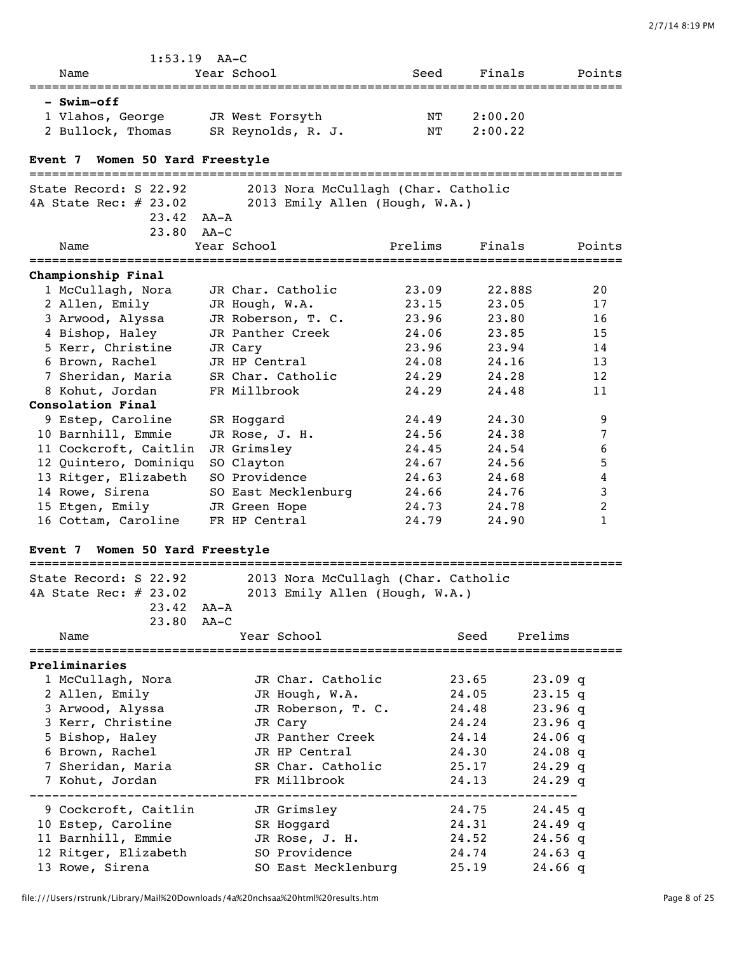| 2/7/14 8:19 PM |  |
|----------------|--|
|                |  |

| $1:53.19$ AA-C                                                                |        |                                     |         |                |                        |                |
|-------------------------------------------------------------------------------|--------|-------------------------------------|---------|----------------|------------------------|----------------|
| Name                                                                          |        | Year School                         | Seed    | Finals         |                        | Points         |
| – Swim-off                                                                    |        |                                     |         |                |                        |                |
| 1 Vlahos, George                                                              |        | JR West Forsyth                     | NT      | 2:00.20        |                        |                |
| 2 Bullock, Thomas                                                             |        | SR Reynolds, R. J.                  | NΤ      | 2:00.22        |                        |                |
| Event 7 Women 50 Yard Freestyle                                               |        |                                     |         |                |                        |                |
|                                                                               |        |                                     |         |                |                        |                |
| State Record: S 22.92                                                         |        | 2013 Nora McCullagh (Char. Catholic |         |                |                        |                |
| 4A State Rec: # 23.02                                                         |        | 2013 Emily Allen (Hough, W.A.)      |         |                |                        |                |
| $23.42$ $AA - A$                                                              |        |                                     |         |                |                        |                |
| 23.80                                                                         | AA–C   |                                     |         |                |                        |                |
| Name                                                                          |        | Year School                         | Prelims | Finals         |                        | Points         |
| Championship Final                                                            |        |                                     |         |                |                        |                |
| 1 McCullagh, Nora                                                             |        | JR Char. Catholic                   | 23.09   | 22.88S         |                        | 20             |
| 2 Allen, Emily                                                                |        | JR Hough, W.A.                      | 23.15   | 23.05          |                        | 17             |
| 3 Arwood, Alyssa                                                              |        | JR Roberson, T. C.                  | 23.96   | 23.80          |                        | 16             |
| 4 Bishop, Haley                                                               |        | JR Panther Creek                    | 24.06   | 23.85          |                        | 15             |
| 5 Kerr, Christine                                                             |        | JR Cary                             | 23.96   | 23.94          |                        | 14             |
| 6 Brown, Rachel                                                               |        | JR HP Central                       | 24.08   | 24.16          |                        | 13             |
| 7 Sheridan, Maria                                                             |        | SR Char. Catholic                   | 24.29   | 24.28          |                        | 12             |
| 8 Kohut, Jordan<br>Consolation Final                                          |        | FR Millbrook                        | 24.29   | 24.48          |                        | 11             |
| 9 Estep, Caroline                                                             |        | SR Hoggard                          | 24.49   | 24.30          |                        | 9              |
| 10 Barnhill, Emmie                                                            |        | JR Rose, J. H.                      | 24.56   | 24.38          |                        | 7              |
| 11 Cockcroft, Caitlin                                                         |        | JR Grimsley                         | 24.45   | 24.54          |                        | 6              |
| 12 Quintero, Dominiqu                                                         |        | SO Clayton                          | 24.67   | 24.56          |                        | 5              |
| 13 Ritger, Elizabeth                                                          |        | SO Providence                       | 24.63   | 24.68          |                        | 4              |
| 14 Rowe, Sirena                                                               |        | SO East Mecklenburg                 | 24.66   | 24.76          |                        | 3              |
| 15 Etgen, Emily                                                               |        | JR Green Hope                       | 24.73   | 24.78          |                        | $\overline{2}$ |
| 16 Cottam, Caroline                                                           |        | FR HP Central                       | 24.79   | 24.90          |                        | 1              |
| Event 7 Women 50 Yard Freestyle                                               |        |                                     |         |                |                        |                |
|                                                                               |        |                                     |         |                |                        |                |
| State Record: S 22.92<br>4A State Rec: # 23.02 2013 Emily Allen (Hough, W.A.) |        | 2013 Nora McCullagh (Char. Catholic |         |                |                        |                |
| 23.42                                                                         | AA-A   |                                     |         |                |                        |                |
| 23.80                                                                         | $AA-C$ |                                     |         |                |                        |                |
| Name                                                                          |        | Year School                         |         | Seed           | Prelims                |                |
| ----------------                                                              |        |                                     |         |                |                        |                |
| Preliminaries<br>1 McCullagh, Nora                                            |        | JR Char. Catholic                   |         | 23.65          | $23.09$ q              |                |
| 2 Allen, Emily                                                                |        | JR Hough, W.A.                      |         | 24.05          | $23.15$ q              |                |
| 3 Arwood, Alyssa                                                              |        | JR Roberson, T. C.                  |         | 24.48          | $23.96$ q              |                |
| 3 Kerr, Christine                                                             |        | JR Cary                             |         | 24.24          | 23.96q                 |                |
| 5 Bishop, Haley                                                               |        | JR Panther Creek                    |         | 24.14          | $24.06$ q              |                |
| 6 Brown, Rachel                                                               |        | JR HP Central                       |         | 24.30          | $24.08$ q              |                |
| 7 Sheridan, Maria                                                             |        | SR Char. Catholic                   |         | 25.17          | $24.29$ q              |                |
| 7 Kohut, Jordan                                                               |        | FR Millbrook                        |         | 24.13          | $24.29$ q              |                |
|                                                                               |        |                                     |         |                |                        |                |
| 9 Cockcroft, Caitlin<br>10 Estep, Caroline                                    |        | JR Grimsley                         |         | 24.75<br>24.31 | $24.45$ q              |                |
| 11 Barnhill, Emmie                                                            |        | SR Hoggard<br>JR Rose, J. H.        |         | 24.52          | $24.49$ q<br>$24.56$ q |                |
| 12 Ritger, Elizabeth                                                          |        | SO Providence                       |         | 24.74          | $24.63$ q              |                |
| 13 Rowe, Sirena                                                               |        | SO East Mecklenburg                 |         | 25.19          | $24.66$ q              |                |
|                                                                               |        |                                     |         |                |                        |                |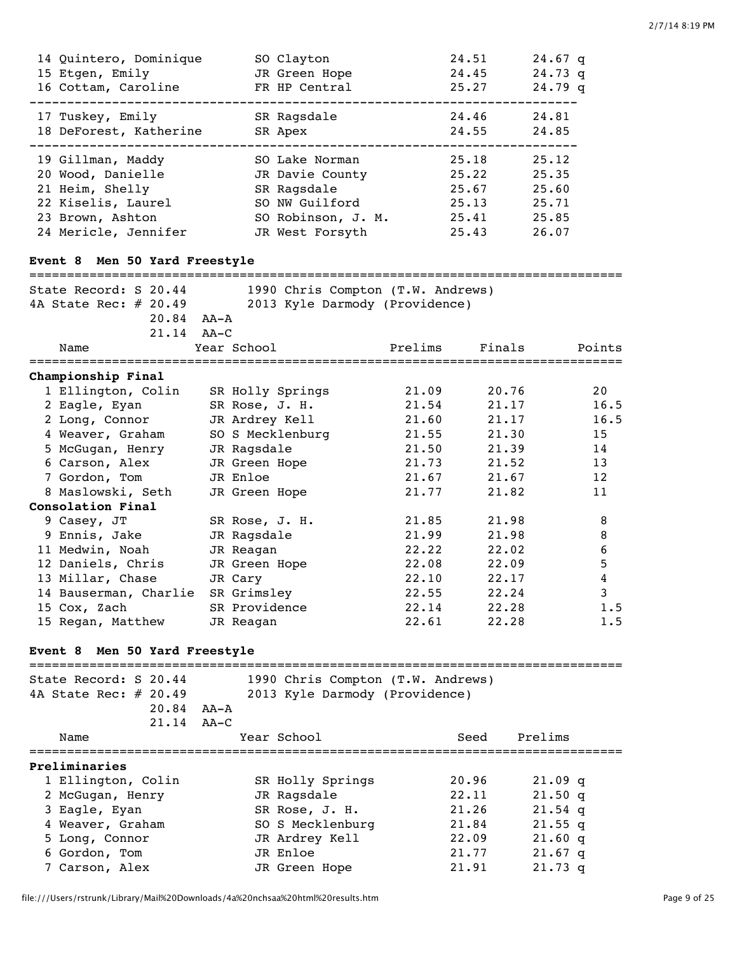| 14 Quintero, Dominique                                  | SO Clayton                        |         | 24.51  | $24.67$ q                        |
|---------------------------------------------------------|-----------------------------------|---------|--------|----------------------------------|
| 15 Etgen, Emily                                         | JR Green Hope                     |         | 24.45  | $24.73$ q                        |
| 16 Cottam, Caroline                                     | FR HP Central                     |         | 25.27  | $24.79$ q                        |
| 17 Tuskey, Emily                                        | SR Ragsdale                       |         | 24.46  | 24.81                            |
| 18 DeForest, Katherine                                  | SR Apex                           |         | 24.55  | 24.85                            |
| 19 Gillman, Maddy                                       | SO Lake Norman                    |         | 25.18  | 25.12                            |
| 20 Wood, Danielle                                       | JR Davie County                   |         | 25.22  | 25.35                            |
| 21 Heim, Shelly                                         | SR Ragsdale                       |         | 25.67  | 25.60                            |
| 22 Kiselis, Laurel                                      | SO NW Guilford                    |         | 25.13  | 25.71                            |
| 23 Brown, Ashton                                        | SO Robinson, J. M.                |         | 25.41  | 25.85                            |
| 24 Mericle, Jennifer                                    | JR West Forsyth                   |         | 25.43  | 26.07                            |
| Event 8 Men 50 Yard Freestyle                           |                                   |         |        |                                  |
| State Record: S 20.44                                   | 1990 Chris Compton (T.W. Andrews) |         |        |                                  |
| 4A State Rec: # 20.49                                   | 2013 Kyle Darmody (Providence)    |         |        |                                  |
| 20.84 AA-A                                              |                                   |         |        |                                  |
| $21.14$ $AA-C$                                          |                                   |         |        |                                  |
| Name                                                    | Year School                       | Prelims | Finals | Points<br>====================== |
| Championship Final                                      |                                   |         |        |                                  |
| 1 Ellington, Colin                                      | SR Holly Springs                  | 21.09   | 20.76  | 20                               |
| 2 Eagle, Eyan                                           | SR Rose, J. H.                    | 21.54   | 21.17  | 16.5                             |
| 2 Long, Connor                                          | JR Ardrey Kell                    | 21.60   | 21.17  | 16.5                             |
| 4 Weaver, Graham                                        | SO S Mecklenburg                  | 21.55   | 21.30  | 15                               |
| 5 McGugan, Henry                                        | JR Ragsdale                       | 21.50   | 21.39  | 14                               |
| 6 Carson, Alex                                          | JR Green Hope                     | 21.73   | 21.52  | 13                               |
| 7 Gordon, Tom                                           | JR Enloe                          | 21.67   | 21.67  | 12                               |
| 8 Maslowski, Seth                                       | JR Green Hope                     | 21.77   | 21.82  | 11                               |
| Consolation Final                                       |                                   |         |        |                                  |
| 9 Casey, JT                                             | SR Rose, J. H.                    | 21.85   | 21.98  | 8                                |
| 9 Ennis, Jake                                           | JR Ragsdale                       | 21.99   | 21.98  | 8                                |
| 11 Medwin, Noah                                         | JR Reagan                         | 22.22   | 22.02  | $\boldsymbol{6}$                 |
| 12 Daniels, Chris                                       | JR Green Hope                     | 22.08   | 22.09  | $\mathbf 5$                      |
| 13 Millar, Chase                                        | JR Cary                           | 22.10   | 22.17  | 4                                |
| 14 Bauserman, Charlie SR Grimsley                       |                                   | 22.55   | 22.24  | $\mathbf{3}$                     |
| 15 Cox, Zach                                            | SR Providence                     | 22.14   | 22.28  | 1.5                              |
| 15 Regan, Matthew                                       | JR Reagan                         | 22.61   | 22.28  | 1.5                              |
| Event 8 Men 50 Yard Freestyle                           |                                   |         |        |                                  |
| ==============================<br>State Record: S 20.44 | 1990 Chris Compton (T.W. Andrews) |         |        | ====================             |
| 4A State Rec: # 20.49                                   | 2013 Kyle Darmody (Providence)    |         |        |                                  |
| 20.84                                                   | AA-A                              |         |        |                                  |
| 21.14                                                   | AA–C                              |         |        |                                  |
| Name                                                    | Year School<br>----------------   |         | Seed   | Prelims<br>===============       |
| Preliminaries                                           |                                   |         |        |                                  |
| 1 Ellington, Colin                                      | SR Holly Springs                  |         | 20.96  | $21.09$ q                        |
| 2 McGugan, Henry                                        | JR Ragsdale                       |         | 22.11  | $21.50$ q                        |
| 3 Eagle, Eyan                                           | SR Rose, J. H.                    |         | 21.26  | $21.54$ q                        |
| 4 Weaver, Graham                                        | SO S Mecklenburg                  |         | 21.84  | $21.55$ q                        |
| 5 Long, Connor                                          | JR Ardrey Kell                    |         | 22.09  | $21.60$ q                        |
| 6 Gordon, Tom                                           | JR Enloe                          |         | 21.77  | $21.67$ q                        |

7 Carson, Alex JR Green Hope 21.91 21.73 q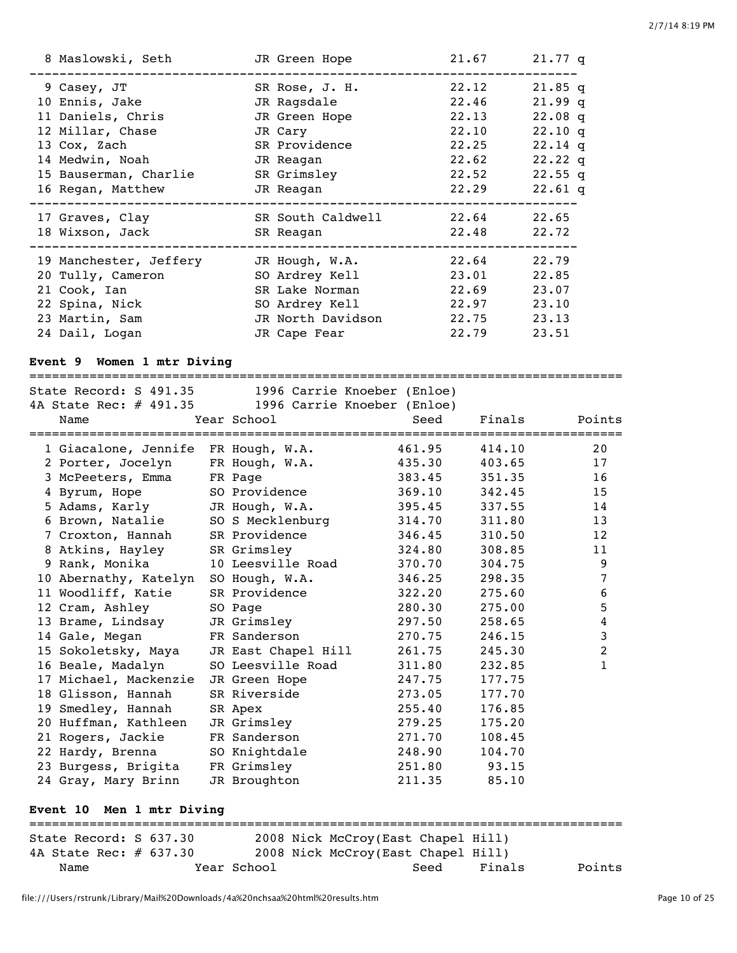| 8 Maslowski, Seth      | JR Green Hope     | 21.67 | $21.77$ q |
|------------------------|-------------------|-------|-----------|
| 9 Casey, JT            | SR Rose, J. H.    | 22.12 | $21.85$ q |
| 10 Ennis, Jake         | JR Ragsdale       | 22.46 | $21.99$ q |
| 11 Daniels, Chris      | JR Green Hope     | 22.13 | $22.08$ q |
| 12 Millar, Chase       | JR Cary           | 22.10 | $22.10$ q |
| 13 Cox, Zach           | SR Providence     | 22.25 | $22.14$ q |
| 14 Medwin, Noah        | JR Reagan         | 22.62 | $22.22$ q |
| 15 Bauserman, Charlie  | SR Grimsley       | 22.52 | $22.55$ q |
| 16 Regan, Matthew      | JR Reagan         | 22.29 | $22.61$ q |
| 17 Graves, Clay        | SR South Caldwell | 22.64 | 22.65     |
| 18 Wixson, Jack        | SR Reagan         | 22.48 | 22.72     |
| 19 Manchester, Jeffery | JR Hough, W.A.    | 22.64 | 22.79     |
| 20 Tully, Cameron      | SO Ardrey Kell    | 23.01 | 22.85     |
| 21 Cook, Ian           | SR Lake Norman    | 22.69 | 23.07     |
| 22 Spina, Nick         | SO Ardrey Kell    | 22.97 | 23.10     |
| 23 Martin, Sam         |                   |       |           |
|                        | JR North Davidson | 22.75 | 23.13     |

# **Event 9 Women 1 mtr Diving**

### ===============================================================================

| State Record: S 491.35              |                     | 1996 Carrie Knoeber (Enloe) |        |                |
|-------------------------------------|---------------------|-----------------------------|--------|----------------|
| 4A State Rec: # 491.35              |                     | 1996 Carrie Knoeber (Enloe) |        |                |
| Name                                | Year School         | Seed                        | Finals | Points         |
|                                     |                     |                             |        |                |
| 1 Giacalone, Jennife FR Hough, W.A. |                     | 461.95                      | 414.10 | 20             |
| 2 Porter, Jocelyn                   | FR Hough, W.A.      | 435.30                      | 403.65 | 17             |
| 3 McPeeters, Emma                   | FR Page             | 383.45                      | 351.35 | 16             |
| 4 Byrum, Hope                       | SO Providence       | 369.10                      | 342.45 | 15             |
| 5 Adams, Karly                      | JR Hough, W.A.      | 395.45                      | 337.55 | 14             |
| 6 Brown, Natalie                    | SO S Mecklenburg    | 314.70                      | 311.80 | 13             |
| 7 Croxton, Hannah                   | SR Providence       | 346.45                      | 310.50 | 12             |
| 8 Atkins, Hayley                    | SR Grimsley         | 324.80                      | 308.85 | 11             |
| 9 Rank, Monika                      | 10 Leesville Road   | 370.70                      | 304.75 | 9              |
| 10 Abernathy, Katelyn               | SO Hough, W.A.      | 346.25                      | 298.35 | 7              |
| 11 Woodliff, Katie                  | SR Providence       | 322.20                      | 275.60 | 6              |
| 12 Cram, Ashley                     | SO Page             | 280.30                      | 275.00 | 5              |
| 13 Brame, Lindsay                   | JR Grimsley         | 297.50                      | 258.65 | 4              |
| 14 Gale, Megan                      | FR Sanderson        | 270.75                      | 246.15 | 3              |
| 15 Sokoletsky, Maya                 | JR East Chapel Hill | 261.75                      | 245.30 | $\overline{2}$ |
| 16 Beale, Madalyn                   | SO Leesville Road   | 311.80                      | 232.85 | 1              |
| 17 Michael, Mackenzie               | JR Green Hope       | 247.75                      | 177.75 |                |
| 18 Glisson, Hannah                  | SR Riverside        | 273.05                      | 177.70 |                |
| 19 Smedley, Hannah                  | SR Apex             | 255.40                      | 176.85 |                |
| 20 Huffman, Kathleen                | JR Grimsley         | 279.25                      | 175.20 |                |
| 21 Rogers, Jackie                   | FR Sanderson        | 271.70                      | 108.45 |                |
| 22 Hardy, Brenna                    | SO Knightdale       | 248.90                      | 104.70 |                |
| 23 Burgess, Brigita                 | FR Grimsley         | 251.80                      | 93.15  |                |
| 24 Gray, Mary Brinn                 | JR Broughton        | 211.35                      | 85.10  |                |
|                                     |                     |                             |        |                |
| Men 1 mtr Diving<br>Event 10        |                     |                             |        |                |
|                                     |                     |                             |        |                |

| State Record: S 637.30    |             | 2008 Nick McCroy(East Chapel Hill) |        |        |
|---------------------------|-------------|------------------------------------|--------|--------|
| 4A State Rec: $\#$ 637.30 |             | 2008 Nick McCroy(East Chapel Hill) |        |        |
| Name                      | Year School | Seed                               | Finals | Points |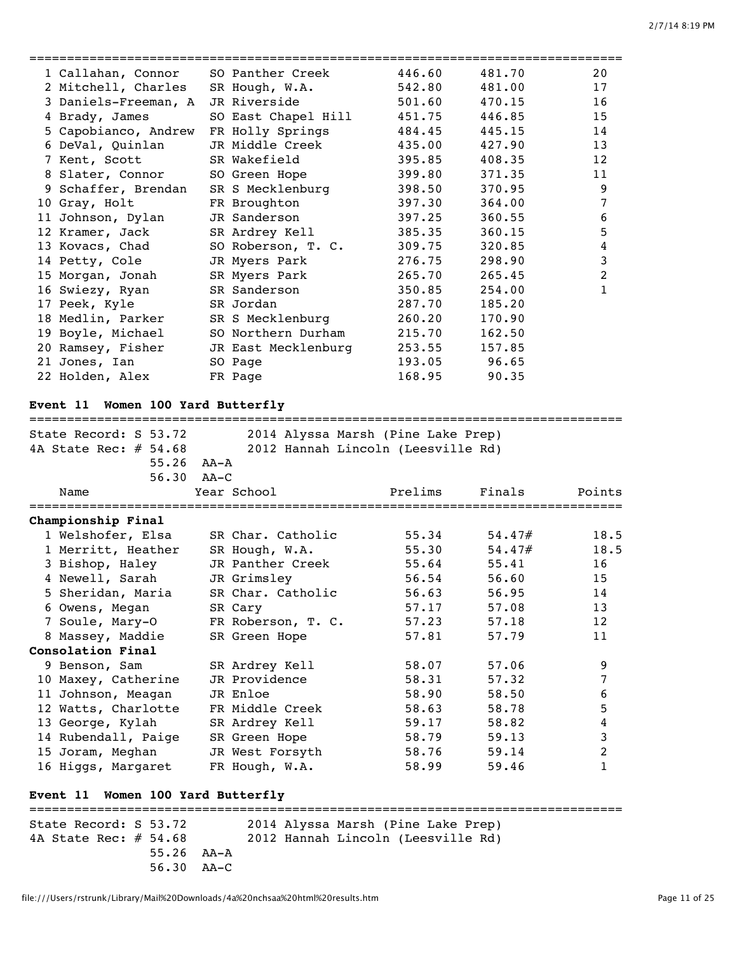| 1 Callahan, Connor SO Panther Creek |                                               | 446.60 | 481.70 | 20           |
|-------------------------------------|-----------------------------------------------|--------|--------|--------------|
| 2 Mitchell, Charles SR Hough, W.A.  |                                               | 542.80 | 481.00 | 17           |
| 3 Daniels-Freeman, A JR Riverside   |                                               | 501.60 | 470.15 | 16           |
| 4 Brady, James                      | SO East Chapel Hill                           | 451.75 | 446.85 | 15           |
| 5 Capobianco, Andrew                | FR Holly Springs                              | 484.45 | 445.15 | 14           |
| 6 DeVal, Quinlan                    | JR Middle Creek                               | 435.00 | 427.90 | 13           |
| 7 Kent, Scott                       | SR Wakefield                                  | 395.85 | 408.35 | 12           |
| 8 Slater, Connor SO Green Hope      |                                               | 399.80 | 371.35 | 11           |
| 9 Schaffer, Brendan                 | SR S Mecklenburg                              | 398.50 | 370.95 | 9            |
| 10 Gray, Holt                       | FR Broughton                                  | 397.30 | 364.00 | 7            |
| 11 Johnson, Dylan                   | JR Sanderson Dans Constants and the Sanderson | 397.25 | 360.55 | 6            |
| 12 Kramer, Jack                     | SR Ardrey Kell                                | 385.35 | 360.15 | 5            |
| 13 Kovacs, Chad                     | SO Roberson, T. C.                            | 309.75 | 320.85 | 4            |
| 14 Petty, Cole                      | JR Myers Park                                 | 276.75 | 298.90 | $\mathbf{3}$ |
| 15 Morgan, Jonah                    | SR Myers Park                                 | 265.70 | 265.45 | 2            |
| 16 Swiezy, Ryan SR Sanderson        |                                               | 350.85 | 254.00 | 1            |
| 17 Peek, Kyle                       | SR Jordan                                     | 287.70 | 185.20 |              |
| 18 Medlin, Parker                   | SR S Mecklenburg                              | 260.20 | 170.90 |              |
| 19 Boyle, Michael                   | SO Northern Durham                            | 215.70 | 162.50 |              |
| 20 Ramsey, Fisher                   | JR East Mecklenburg                           | 253.55 | 157.85 |              |
| 21 Jones, Ian                       | SO Page                                       | 193.05 | 96.65  |              |
| 22 Holden, Alex                     | FR Page                                       | 168.95 | 90.35  |              |
|                                     |                                               |        |        |              |

# **Event 11 Women 100 Yard Butterfly**

===============================================================================

| State Record: S 53.72             | 2014 Alyssa Marsh (Pine Lake Prep)  |         |        |                |
|-----------------------------------|-------------------------------------|---------|--------|----------------|
| 4A State Rec: $\#$ 54.68          | 2012 Hannah Lincoln (Leesville Rd)  |         |        |                |
|                                   | $55.26$ $AA - A$                    |         |        |                |
|                                   | 56.30 AA-C                          |         |        |                |
| Name                              | Year School                         | Prelims | Finals | Points         |
| Championship Final                |                                     |         |        |                |
|                                   | 1 Welshofer, Elsa SR Char. Catholic | 55.34   | 54.47# | 18.5           |
| 1 Merritt, Heather                | SR Hough, W.A.                      | 55.30   | 54.47# | 18.5           |
| 3 Bishop, Haley                   | JR Panther Creek                    | 55.64   | 55.41  | 16             |
| 4 Newell, Sarah                   | JR Grimsley                         | 56.54   | 56.60  | 15             |
| 5 Sheridan, Maria                 | SR Char. Catholic                   | 56.63   | 56.95  | 14             |
| 6 Owens, Megan                    | SR Cary                             | 57.17   | 57.08  | 13             |
| 7 Soule, Mary-O                   | FR Roberson, T. C.                  | 57.23   | 57.18  | 12             |
| 8 Massey, Maddie                  | SR Green Hope                       | 57.81   | 57.79  | 11             |
| Consolation Final                 |                                     |         |        |                |
| 9 Benson, Sam                     | SR Ardrey Kell                      | 58.07   | 57.06  | 9              |
| 10 Maxey, Catherine               | JR Providence                       | 58.31   | 57.32  | 7              |
| 11 Johnson, Meagan                | JR Enloe                            | 58.90   | 58.50  | 6              |
| 12 Watts, Charlotte               | FR Middle Creek                     | 58.63   | 58.78  | 5              |
| 13 George, Kylah                  | SR Ardrey Kell                      | 59.17   | 58.82  | 4              |
| 14 Rubendall, Paige SR Green Hope |                                     | 58.79   | 59.13  | 3              |
| 15 Joram, Meghan                  | JR West Forsyth                     | 58.76   | 59.14  | $\overline{2}$ |
| 16 Higgs, Margaret                | FR Hough, W.A.                      | 58.99   | 59.46  | 1              |

## **Event 11 Women 100 Yard Butterfly**

=============================================================================== State Record: S 53.72 2014 Alyssa Marsh (Pine Lake Prep) 4A State Rec: # 54.68 2012 Hannah Lincoln (Leesville Rd) 55.26 AA-A 56.30 AA-C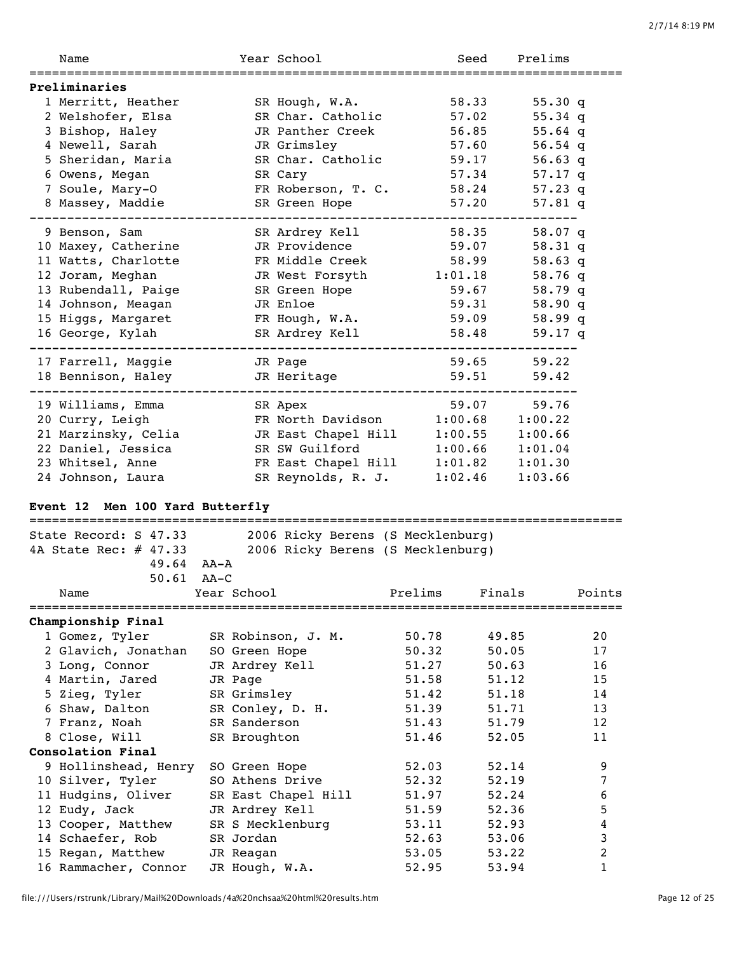| Name                                                    |        |                | Year School                                                         |         | Seed    | Prelims         |        |
|---------------------------------------------------------|--------|----------------|---------------------------------------------------------------------|---------|---------|-----------------|--------|
| Preliminaries                                           |        |                |                                                                     |         |         |                 |        |
| 1 Merritt, Heather                                      |        |                | SR Hough, W.A.                                                      |         | 58.33   | 55.30 $q$       |        |
| 2 Welshofer, Elsa                                       |        |                | SR Char. Catholic                                                   |         | 57.02   | 55.34 q         |        |
| 3 Bishop, Haley                                         |        |                | JR Panther Creek                                                    |         | 56.85   | $55.64$ q       |        |
| 4 Newell, Sarah                                         |        |                | JR Grimsley                                                         |         | 57.60   | 56.54 q         |        |
| 5 Sheridan, Maria                                       |        |                | SR Char. Catholic                                                   |         | 59.17   | 56.63 q         |        |
| 6 Owens, Megan                                          |        |                | SR Cary                                                             |         | 57.34   | 57.17 q         |        |
| 7 Soule, Mary-O                                         |        |                | FR Roberson, T. C.                                                  |         | 58.24   | 57.23 q         |        |
| 8 Massey, Maddie                                        |        |                | SR Green Hope                                                       |         | 57.20   | 57.81 q         |        |
| 9 Benson, Sam                                           |        |                | SR Ardrey Kell                                                      |         | 58.35   | 58.07 q         |        |
| 10 Maxey, Catherine                                     |        |                | JR Providence                                                       |         | 59.07   | $58.31$ q       |        |
| 11 Watts, Charlotte                                     |        |                | FR Middle Creek                                                     |         | 58.99   | $58.63$ q       |        |
| 12 Joram, Meghan                                        |        |                | JR West Forsyth                                                     |         | 1:01.18 | 58.76 q         |        |
| 13 Rubendall, Paige                                     |        |                | SR Green Hope                                                       |         | 59.67   | $58.79$ q       |        |
| 14 Johnson, Meagan                                      |        |                | JR Enloe                                                            |         | 59.31   | 58.90q          |        |
| 15 Higgs, Margaret                                      |        |                | FR Hough, W.A.                                                      |         | 59.09   | 58.99 q         |        |
| 16 George, Kylah                                        |        |                | SR Ardrey Kell                                                      |         | 58.48   | 59.17 q         |        |
| 17 Farrell, Maggie                                      |        |                | JR Page                                                             |         | 59.65   | 59.22           |        |
| 18 Bennison, Haley                                      |        |                | JR Heritage                                                         |         | 59.51   | 59.42           |        |
|                                                         |        |                |                                                                     |         |         |                 |        |
| 19 Williams, Emma                                       |        |                | SR Apex                                                             |         | 59.07   | 59.76           |        |
| 20 Curry, Leigh                                         |        |                | FR North Davidson                                                   |         | 1:00.68 | 1:00.22         |        |
| 21 Marzinsky, Celia                                     |        |                | JR East Chapel Hill                                                 |         | 1:00.55 | 1:00.66         |        |
| 22 Daniel, Jessica                                      |        |                | SR SW Guilford                                                      |         | 1:00.66 | 1:01.04         |        |
| 23 Whitsel, Anne                                        |        |                | FR East Chapel Hill                                                 |         | 1:01.82 | 1:01.30         |        |
| 24 Johnson, Laura                                       |        |                | SR Reynolds, R. J.                                                  |         | 1:02.46 | 1:03.66         |        |
| Event 12 Men 100 Yard Butterfly                         |        |                |                                                                     |         |         |                 |        |
| ==============================<br>State Record: S 47.33 |        |                | ------------------------------<br>2006 Ricky Berens (S Mecklenburg) |         |         |                 |        |
| 4A State Rec: # 47.33                                   |        |                | 2006 Ricky Berens (S Mecklenburg)                                   |         |         |                 |        |
| $49.64$ AA-A                                            |        |                |                                                                     |         |         |                 |        |
| 50.61                                                   | $AA-C$ |                |                                                                     |         |         |                 |        |
| Name                                                    |        | Year School    |                                                                     | Prelims | Finals  |                 | Points |
| Championship Final                                      |        |                |                                                                     |         |         | =============== |        |
| 1 Gomez, Tyler                                          |        |                | SR Robinson, J. M.                                                  | 50.78   |         | 49.85           | 20     |
| 2 Glavich, Jonathan                                     |        | SO Green Hope  |                                                                     | 50.32   |         | 50.05           | 17     |
| 3 Long, Connor                                          |        | JR Ardrey Kell |                                                                     | 51.27   |         | 50.63           | 16     |
| 4 Martin, Jared                                         |        | JR Page        |                                                                     | 51.58   |         | 51.12           | 15     |
| 5 Zieg, Tyler                                           |        | SR Grimsley    |                                                                     | 51.42   |         | 51.18           | 14     |
| 6 Shaw, Dalton                                          |        |                | SR Conley, D. H.                                                    | 51.39   |         | 51.71           | 13     |
| 7 Franz, Noah                                           |        | SR Sanderson   |                                                                     | 51.43   |         | 51.79           | 12     |
| 8 Close, Will                                           |        | SR Broughton   |                                                                     | 51.46   |         | 52.05           | 11     |
| Consolation Final                                       |        |                |                                                                     |         |         |                 |        |
| 9 Hollinshead, Henry                                    |        | SO Green Hope  |                                                                     | 52.03   |         | 52.14           | 9      |
| 10 Silver, Tyler                                        |        |                | SO Athens Drive                                                     | 52.32   |         | 52.19           | 7      |
| 11 Hudgins, Oliver                                      |        |                | SR East Chapel Hill                                                 | 51.97   |         | 52.24           | 6      |
| 12 Eudy, Jack                                           |        | JR Ardrey Kell |                                                                     | 51.59   |         | 52.36           | 5      |
| 13 Cooper, Matthew                                      |        |                | SR S Mecklenburg                                                    | 53.11   |         | 52.93           | 4      |
| 14 Schaefer, Rob                                        |        | SR Jordan      |                                                                     | 52.63   |         | 53.06           | 3      |

15 Regan, Matthew JR Reagan 53.05 53.22 2

16 Rammacher, Connor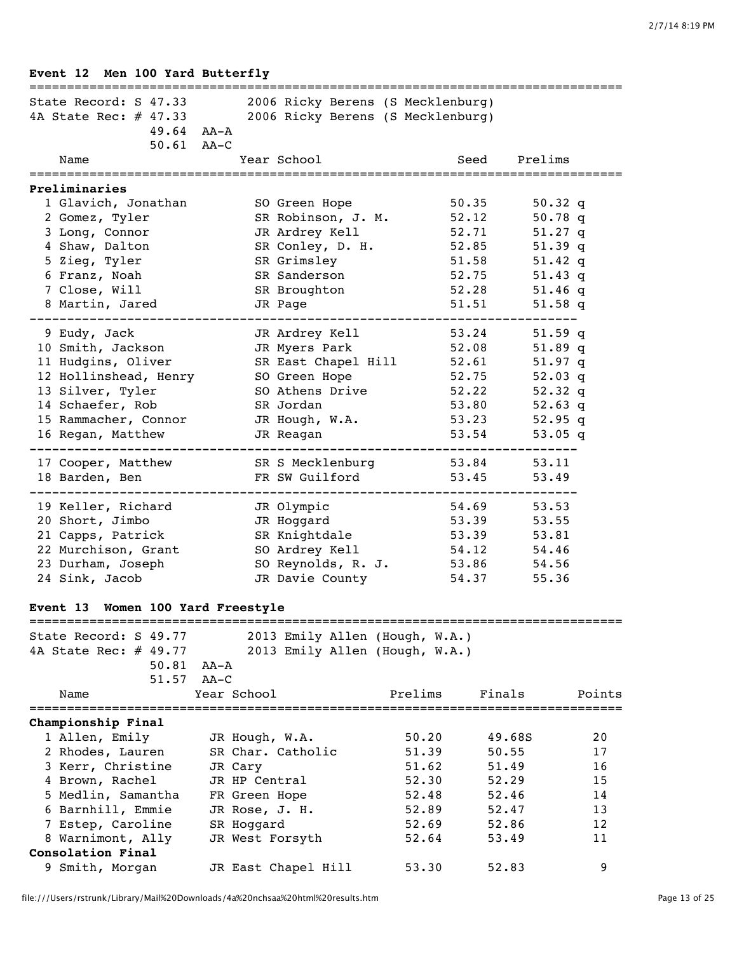| Event 12 Men 100 Yard Butterfly<br>===============================                                                                                                    |                                                                                                                                        |                                  |                                                                                                                                                                            |                      |
|-----------------------------------------------------------------------------------------------------------------------------------------------------------------------|----------------------------------------------------------------------------------------------------------------------------------------|----------------------------------|----------------------------------------------------------------------------------------------------------------------------------------------------------------------------|----------------------|
| State Record: S 47.33<br>4A State Rec: # 47.33<br>$49.64$ AA-A<br>$50.61$ AA-C                                                                                        | 2006 Ricky Berens (S Mecklenburg)<br>2006 Ricky Berens (S Mecklenburg)                                                                 |                                  |                                                                                                                                                                            |                      |
| Name                                                                                                                                                                  | Year School                                                                                                                            |                                  | Prelims<br>Seed                                                                                                                                                            |                      |
| =================<br>Preliminaries                                                                                                                                    | ======================================                                                                                                 |                                  |                                                                                                                                                                            |                      |
| 1 Glavich, Jonathan<br>2 Gomez, Tyler<br>3 Long, Connor<br>4 Shaw, Dalton<br>5 Zieg, Tyler<br>6 Franz, Noah<br>7 Close, Will                                          | SO Green Hope<br>SR Robinson, J. M.<br>JR Ardrey Kell<br>SR Conley, D. H.<br>SR Grimsley<br>SR Sanderson<br>SR Broughton               |                                  | 50.35<br>$50.32$ q<br>52.12<br>50.78q<br>52.71<br>$51.27$ q<br>52.85<br>$51.39$ q<br>51.58<br>51.42 $q$<br>52.75<br>51.43 $q$<br>52.28<br>$51.46$ q                        |                      |
| 8 Martin, Jared                                                                                                                                                       | JR Page                                                                                                                                |                                  | 51.51<br>$51.58$ q                                                                                                                                                         |                      |
| 9 Eudy, Jack<br>10 Smith, Jackson<br>11 Hudgins, Oliver<br>12 Hollinshead, Henry<br>13 Silver, Tyler<br>14 Schaefer, Rob<br>15 Rammacher, Connor<br>16 Regan, Matthew | JR Ardrey Kell<br>JR Myers Park<br>SR East Chapel Hill<br>SO Green Hope<br>SO Athens Drive<br>SR Jordan<br>JR Hough, W.A.<br>JR Reagan |                                  | 53.24<br>$51.59$ q<br>52.08<br>51.89 q<br>52.61<br>$51.97$ q<br>52.75<br>$52.03$ q<br>52.22<br>52.32 $q$<br>53.80<br>52.63 $q$<br>53.23<br>$52.95$ q<br>53.54<br>$53.05$ q |                      |
| 17 Cooper, Matthew<br>18 Barden, Ben                                                                                                                                  | SR S Mecklenburg<br>FR SW Guilford                                                                                                     |                                  | 53.84<br>53.11<br>53.45<br>53.49                                                                                                                                           |                      |
| 19 Keller, Richard<br>20 Short, Jimbo<br>21 Capps, Patrick<br>22 Murchison, Grant<br>23 Durham, Joseph<br>24 Sink, Jacob                                              | JR Olympic<br>JR Hoggard<br>SR Knightdale<br>SO Ardrey Kell<br>SO Reynolds, R. J.<br>JR Davie County                                   |                                  | 54.69<br>53.53<br>53.39<br>53.55<br>53.39<br>53.81<br>54.12<br>54.46<br>53.86<br>54.56<br>54.37<br>55.36                                                                   |                      |
| Event 13                                                                                                                                                              | Women 100 Yard Freestyle                                                                                                               |                                  |                                                                                                                                                                            |                      |
| State Record: S 49.77<br>4A State Rec: # 49.77<br>50.81<br>51.57                                                                                                      | 2013 Emily Allen (Hough, W.A.)<br>2013 Emily Allen (Hough, W.A.)<br>AA-A<br>$AA-C$                                                     |                                  |                                                                                                                                                                            |                      |
| Name                                                                                                                                                                  | Year School                                                                                                                            | Prelims                          | Finals                                                                                                                                                                     | Points               |
| ==============================<br>Championship Final                                                                                                                  |                                                                                                                                        |                                  |                                                                                                                                                                            |                      |
| 1 Allen, Emily<br>2 Rhodes, Lauren<br>3 Kerr, Christine<br>4 Brown, Rachel                                                                                            | JR Hough, W.A.<br>SR Char. Catholic<br>JR Cary<br>JR HP Central                                                                        | 50.20<br>51.39<br>51.62<br>52.30 | 49.68S<br>50.55<br>51.49<br>52.29                                                                                                                                          | 20<br>17<br>16<br>15 |
| 5 Medlin, Samantha<br>6 Barnhill, Emmie<br>7 Estep, Caroline<br>8 Warnimont, Ally<br>Consolation Final                                                                | FR Green Hope<br>JR Rose, J. H.<br>SR Hoggard<br>JR West Forsyth                                                                       | 52.48<br>52.89<br>52.69<br>52.64 | 52.46<br>52.47<br>52.86<br>53.49                                                                                                                                           | 14<br>13<br>12<br>11 |
| 9 Smith, Morgan                                                                                                                                                       | JR East Chapel Hill                                                                                                                    | 53.30                            | 52.83                                                                                                                                                                      | 9                    |

file:///Users/rstrunk/Library/Mail%20Downloads/4a%20nchsaa%20html%20results.htm Page 13 of 25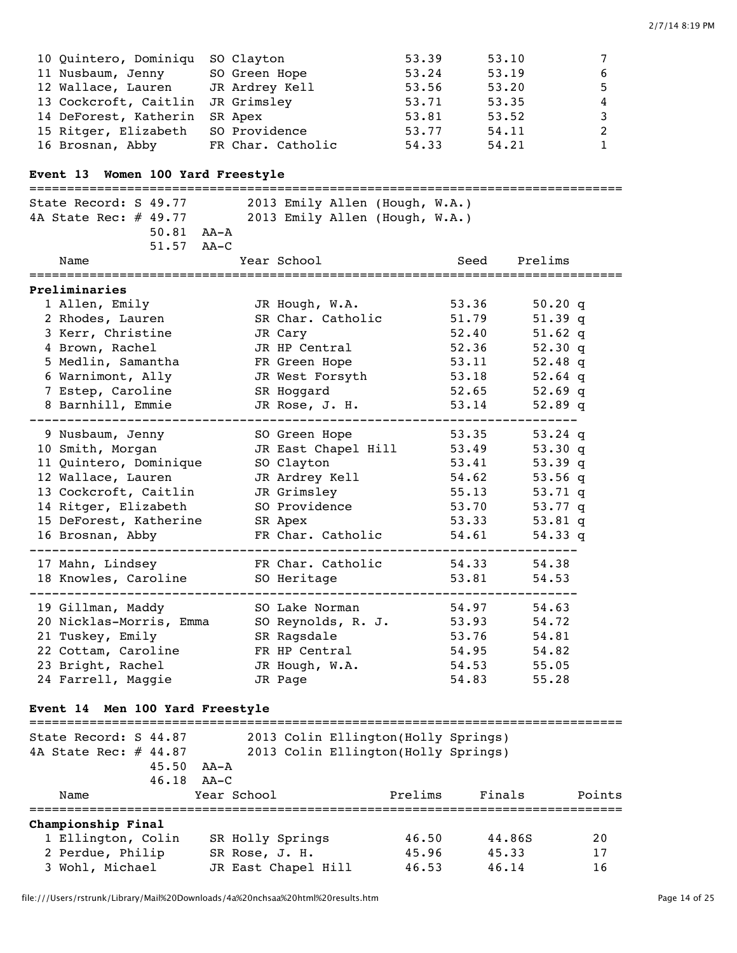| 10 Quintero, Dominiqu SO Clayton  |                   | 53.39 | 53.10 | $7^{\circ}$  |
|-----------------------------------|-------------------|-------|-------|--------------|
| 11 Nusbaum, Jenny                 | SO Green Hope     | 53.24 | 53.19 | 6            |
| 12 Wallace, Lauren                | JR Ardrey Kell    | 53.56 | 53.20 | 5            |
| 13 Cockcroft, Caitlin JR Grimsley |                   | 53.71 | 53.35 | 4            |
| 14 DeForest, Katherin             | SR Apex           | 53.81 | 53.52 | 3            |
| 15 Ritger, Elizabeth              | SO Providence     | 53.77 | 54.11 | 2            |
| 16 Brosnan, Abby                  | FR Char. Catholic | 54.33 | 54.21 | $\mathbf{1}$ |

# **Event 13 Women 100 Yard Freestyle**

| ==================                                      |                                     |                            | =================================== |  |  |  |
|---------------------------------------------------------|-------------------------------------|----------------------------|-------------------------------------|--|--|--|
| State Record: S 49.77<br>2013 Emily Allen (Hough, W.A.) |                                     |                            |                                     |  |  |  |
| 4A State Rec: # 49.77                                   | 2013 Emily Allen (Hough, W.A.)      |                            |                                     |  |  |  |
| $50.81$ $AA - A$                                        |                                     |                            |                                     |  |  |  |
| 51.57 AA-C                                              |                                     |                            |                                     |  |  |  |
| Name                                                    | Year School                         | Seed                       | Prelims                             |  |  |  |
|                                                         |                                     |                            |                                     |  |  |  |
| Preliminaries                                           |                                     |                            |                                     |  |  |  |
| 1 Allen, Emily                                          | JR Hough, W.A.                      | 53.36                      | 50.20 q                             |  |  |  |
| 2 Rhodes, Lauren                                        | SR Char. Catholic                   | 51.79                      | $51.39$ q                           |  |  |  |
| 3 Kerr, Christine                                       | JR Cary                             | 52.40                      | $51.62$ q                           |  |  |  |
| 4 Brown, Rachel                                         | JR HP Central                       | 52.36                      | 52.30 q                             |  |  |  |
| 5 Medlin, Samantha                                      | FR Green Hope                       | 53.11                      | 52.48 $q$                           |  |  |  |
| 6 Warnimont, Ally                                       | JR West Forsyth                     | 53.18                      | 52.64 $q$                           |  |  |  |
| 7 Estep, Caroline                                       | SR Hoggard                          | 52.65                      | 52.69 $q$                           |  |  |  |
| 8 Barnhill, Emmie                                       | JR Rose, J. H.                      | 53.14                      | 52.89q                              |  |  |  |
| 9 Nusbaum, Jenny                                        | SO Green Hope                       | 53.35                      | 53.24 $q$                           |  |  |  |
| 10 Smith, Morgan                                        | JR East Chapel Hill                 | 53.49                      | 53.30q                              |  |  |  |
| 11 Quintero, Dominique                                  | SO Clayton                          | 53.41                      | $53.39$ q                           |  |  |  |
| 12 Wallace, Lauren                                      | JR Ardrey Kell                      | 54.62                      | 53.56 $q$                           |  |  |  |
| 13 Cockcroft, Caitlin                                   | JR Grimsley                         | 55.13                      | 53.71 q                             |  |  |  |
| 14 Ritger, Elizabeth                                    | SO Providence                       | 53.70                      | 53.77 $q$                           |  |  |  |
| 15 DeForest, Katherine SR Apex                          |                                     | 53.33                      | $53.81$ q                           |  |  |  |
| 16 Brosnan, Abby                                        | FR Char. Catholic                   | 54.61                      | 54.33q                              |  |  |  |
|                                                         | _______________________             | -------------------------- |                                     |  |  |  |
| 17 Mahn, Lindsey                                        | FR Char. Catholic                   | 54.33                      | 54.38                               |  |  |  |
| 18 Knowles, Caroline<br>---------------                 | SO Heritage                         | 53.81                      | 54.53                               |  |  |  |
| 19 Gillman, Maddy                                       | SO Lake Norman                      | 54.97                      | 54.63                               |  |  |  |
| 20 Nicklas-Morris, Emma                                 | SO Reynolds, R. J.                  | 53.93                      | 54.72                               |  |  |  |
| 21 Tuskey, Emily                                        | SR Ragsdale                         | 53.76                      | 54.81                               |  |  |  |
| 22 Cottam, Caroline                                     | FR HP Central                       | 54.95                      | 54.82                               |  |  |  |
| 23 Bright, Rachel                                       | JR Hough, W.A.                      | 54.53                      | 55.05                               |  |  |  |
| 24 Farrell, Maggie                                      | JR Page                             | 54.83                      | 55.28                               |  |  |  |
|                                                         |                                     |                            |                                     |  |  |  |
| Event 14 Men 100 Yard Freestyle                         |                                     |                            |                                     |  |  |  |
| State Record: S 44.87                                   | 2013 Colin Ellington(Holly Springs) |                            |                                     |  |  |  |
| 4A State Rec: # 44.87                                   | 2013 Colin Ellington(Holly Springs) |                            |                                     |  |  |  |
| 45.50 AA-A                                              |                                     |                            |                                     |  |  |  |
| 46.18<br>$AA-C$                                         |                                     |                            |                                     |  |  |  |

| Name                      | Year School         | Prelims | Finals | Points |
|---------------------------|---------------------|---------|--------|--------|
| <b>Championship Final</b> |                     |         |        |        |
| 1 Ellington, Colin        | SR Holly Springs    | 46.50   | 44.86S | 20     |
| 2 Perdue, Philip          | SR Rose, J. H.      | 45.96   | 45.33  | 17     |
| 3 Wohl, Michael           | JR East Chapel Hill | 46.53   | 46.14  | 16     |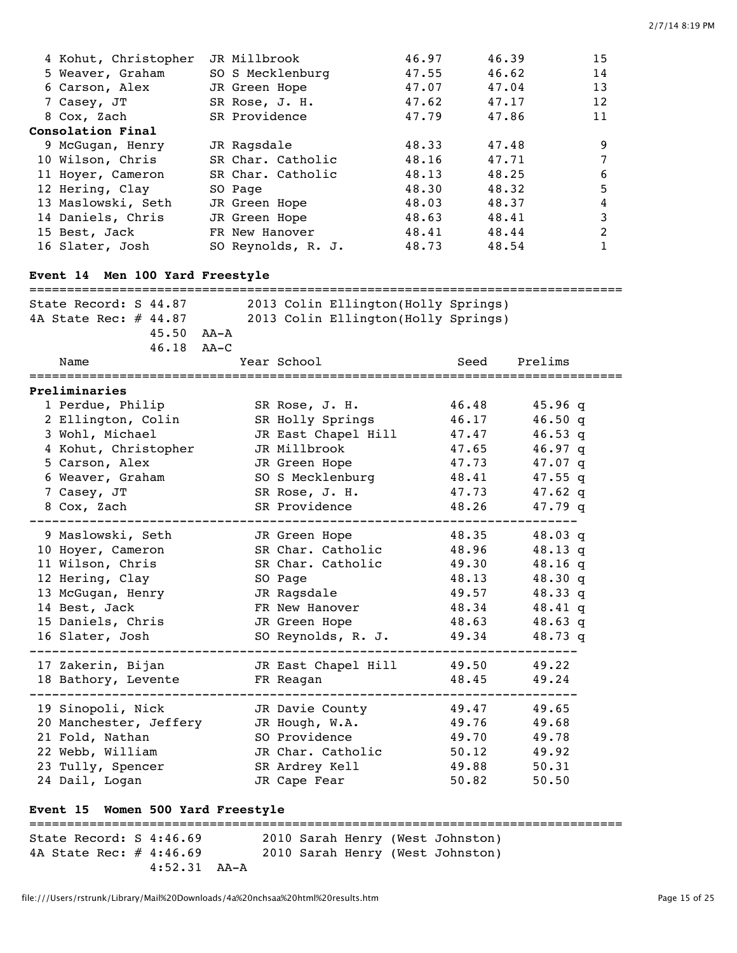| 4 Kohut, Christopher<br>5 Weaver, Graham<br>6 Carson, Alex<br>7 Casey, JT<br>8 Cox, Zach<br>Consolation Final | JR Millbrook<br>SO S Mecklenburg<br>JR Green Hope<br>SR Rose, J. H.<br>SR Providence | 46.97<br>47.55<br>47.07<br>47.62<br>47.79                                                                      | 46.39<br>46.62<br>47.04<br>47.17<br>47.86 | 15<br>14<br>13<br>12<br>11 |
|---------------------------------------------------------------------------------------------------------------|--------------------------------------------------------------------------------------|----------------------------------------------------------------------------------------------------------------|-------------------------------------------|----------------------------|
|                                                                                                               |                                                                                      |                                                                                                                |                                           |                            |
| 9 McGugan, Henry                                                                                              | JR Ragsdale                                                                          | 48.33                                                                                                          | 47.48                                     | 9                          |
| 10 Wilson, Chris                                                                                              | SR Char. Catholic                                                                    | 48.16                                                                                                          | 47.71                                     | 7                          |
| 11 Hoyer, Cameron                                                                                             | SR Char. Catholic                                                                    | 48.13                                                                                                          | 48.25                                     | 6                          |
| 12 Hering, Clay                                                                                               | SO Page                                                                              | 48.30                                                                                                          | 48.32                                     | 5                          |
| 13 Maslowski, Seth                                                                                            | JR Green Hope                                                                        | 48.03                                                                                                          | 48.37                                     | 4                          |
| 14 Daniels, Chris                                                                                             | JR Green Hope                                                                        | 48.63                                                                                                          | 48.41                                     | 3                          |
| 15 Best, Jack                                                                                                 | FR New Hanover                                                                       | 48.41                                                                                                          | 48.44                                     | $\overline{c}$             |
| 16 Slater, Josh                                                                                               | SO Reynolds, R. J.                                                                   | 48.73                                                                                                          | 48.54                                     | 1                          |
| Event 14 Men 100 Yard Freestyle                                                                               |                                                                                      |                                                                                                                |                                           |                            |
| State Record: S 44.87                                                                                         |                                                                                      | 2013 Colin Ellington(Holly Springs)                                                                            |                                           |                            |
| 4A State Rec: $\#$ 44.87                                                                                      |                                                                                      | 2013 Colin Ellington(Holly Springs)                                                                            |                                           |                            |
| $45.50$ $AA - A$                                                                                              |                                                                                      |                                                                                                                |                                           |                            |
| 46.18                                                                                                         | $AA-C$                                                                               |                                                                                                                |                                           |                            |
| Name                                                                                                          | Year School                                                                          |                                                                                                                | Prelims<br>Seed                           |                            |
| Preliminaries                                                                                                 |                                                                                      |                                                                                                                |                                           |                            |
| 1 Perdue, Philip                                                                                              | SR Rose, J. H.                                                                       |                                                                                                                | 46.48<br>$45.96$ q                        |                            |
| 2 Ellington, Colin                                                                                            | SR Holly Springs                                                                     |                                                                                                                | 46.17<br>46.50q                           |                            |
| 3 Wohl, Michael                                                                                               | JR East Chapel Hill                                                                  |                                                                                                                | 47.47<br>$46.53$ q                        |                            |
| 4 Kohut, Christopher                                                                                          | JR Millbrook                                                                         |                                                                                                                | 47.65<br>$46.97$ q                        |                            |
| 5 Carson, Alex                                                                                                | JR Green Hope                                                                        |                                                                                                                | 47.73<br>47.07 q                          |                            |
| 6 Weaver, Graham                                                                                              | SO S Mecklenburg                                                                     |                                                                                                                | 48.41<br>$47.55$ q                        |                            |
| 7 Casey, JT                                                                                                   | SR Rose, J. H.                                                                       |                                                                                                                | 47.73<br>47.62 $q$                        |                            |
| 8 Cox, Zach                                                                                                   | SR Providence                                                                        |                                                                                                                | 48.26<br>47.79 q                          |                            |
| 9 Maslowski, Seth                                                                                             | JR Green Hope                                                                        |                                                                                                                | 48.35<br>$48.03$ q                        |                            |
| 10 Hoyer, Cameron                                                                                             | SR Char. Catholic                                                                    |                                                                                                                | 48.96<br>$48.13$ q                        |                            |
| 11 Wilson, Chris                                                                                              | SR Char. Catholic                                                                    |                                                                                                                | 49.30<br>$48.16$ q                        |                            |
| 12 Hering, Clay                                                                                               | SO Page                                                                              |                                                                                                                | 48.13<br>48.30 q                          |                            |
| 13 McGugan, Henry                                                                                             |                                                                                      | JR Ragsdale San Maria San Maria San Maria San Maria San Maria San Maria San Maria San Maria San Maria San Mari | 49.57 48.33 q                             |                            |
| 14 Best, Jack                                                                                                 |                                                                                      | FR New Hanover 48.34                                                                                           | 48.41 q                                   |                            |
| 15 Daniels, Chris           JR Green Hope             48.63       48.63 q                                     |                                                                                      |                                                                                                                |                                           |                            |
| 16 Slater, Josh SO Reynolds, R. J. 49.34 48.73 q                                                              |                                                                                      |                                                                                                                |                                           |                            |
| 17 Zakerin, Bijan M JR East Chapel Hill 49.50 49.22                                                           |                                                                                      |                                                                                                                |                                           |                            |
|                                                                                                               |                                                                                      |                                                                                                                |                                           |                            |
| 19 Sinopoli, Nick The JR Davie County 49.47 49.65                                                             |                                                                                      |                                                                                                                |                                           |                            |
| 20 Manchester, Jeffery JR Hough, W.A. 49.76 49.68                                                             |                                                                                      |                                                                                                                |                                           |                            |
| 21 Fold, Nathan SO Providence 49.70 49.78                                                                     |                                                                                      |                                                                                                                |                                           |                            |
| 22 Webb, William                                                                                              |                                                                                      | JR Char. Catholic 50.12 49.92                                                                                  |                                           |                            |
| 23 Tully, Spencer SR Ardrey Kell (49.88)                                                                      |                                                                                      |                                                                                                                | 50.31                                     |                            |
| 24 Dail, Logan                                                                                                |                                                                                      | JR Cape Fear Theory                                                                                            | 50.82<br>50.50                            |                            |
| Event 15 Women 500 Yard Freestyle                                                                             |                                                                                      |                                                                                                                |                                           |                            |

=============================================================================== State Record: S 4:46.69 2010 Sarah Henry (West Johnston) 4A State Rec: # 4:46.69 2010 Sarah Henry (West Johnston) 4:52.31 AA-A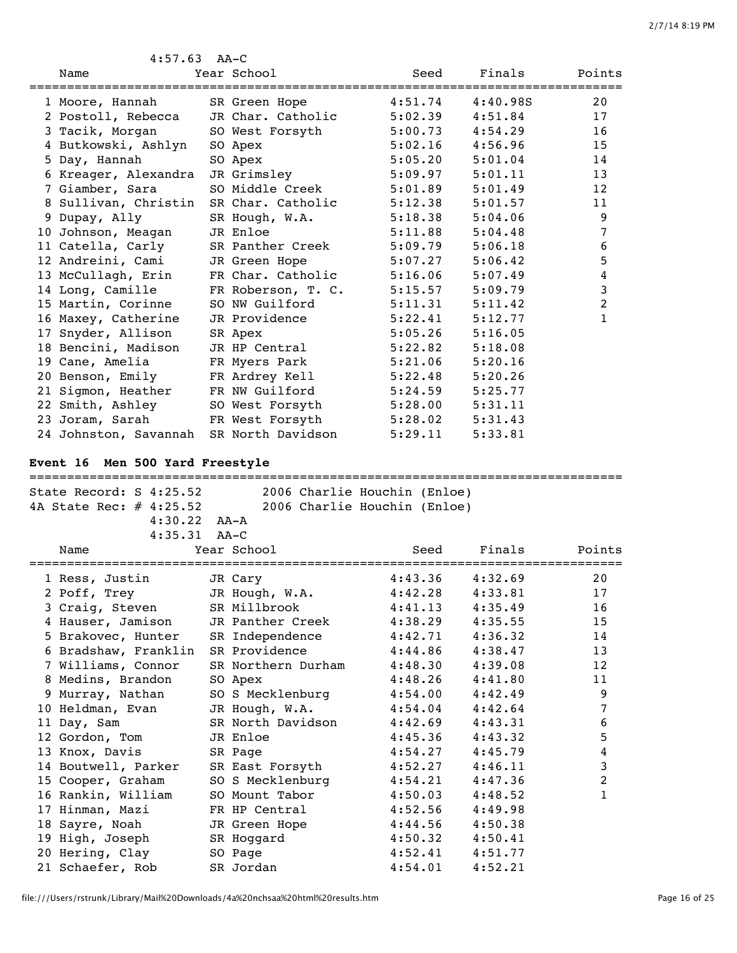| $4:57.63$ AA-C        |                                                                                                                |         |          |                |
|-----------------------|----------------------------------------------------------------------------------------------------------------|---------|----------|----------------|
| Name                  | Year School                                                                                                    | Seed    | Finals   | Points         |
|                       |                                                                                                                |         |          |                |
|                       |                                                                                                                | 4:51.74 | 4:40.98S | 20             |
|                       | 2 Postoll, Rebecca JR Char. Catholic                                                                           | 5:02.39 | 4:51.84  | 17             |
|                       | 3 Tacik, Morgan SO West Forsyth 5:00.73                                                                        |         | 4:54.29  | 16             |
| 4 Butkowski, Ashlyn   | SO Apex                                                                                                        | 5:02.16 | 4:56.96  | 15             |
| 5 Day, Hannah         | SO Apex                                                                                                        | 5:05.20 | 5:01.04  | 14             |
| 6 Kreager, Alexandra  | JR Grimsley                                                                                                    | 5:09.97 | 5:01.11  | 13             |
| 7 Giamber, Sara       | SO Middle Creek                                                                                                | 5:01.89 | 5:01.49  | 12             |
|                       | 8 Sullivan, Christin SR Char. Catholic                                                                         | 5:12.38 | 5:01.57  | 11             |
| 9 Dupay, Ally         | SR Hough, W.A.                                                                                                 | 5:18.38 | 5:04.06  | 9              |
| 10 Johnson, Meagan    | JR Enloe                                                                                                       | 5:11.88 | 5:04.48  | 7              |
| 11 Catella, Carly     | SR Panther Creek                                                                                               | 5:09.79 | 5:06.18  | 6              |
| 12 Andreini, Cami     | JR Green Hope The State of the State of the State of the State of the State of the State of the State of the S | 5:07.27 | 5:06.42  | 5              |
| 13 McCullagh, Erin    | FR Char. Catholic                                                                                              | 5:16.06 | 5:07.49  | 4              |
| 14 Long, Camille      | FR Roberson, T. C.                                                                                             | 5:15.57 | 5:09.79  | 3              |
| 15 Martin, Corinne    | SO NW Guilford                                                                                                 | 5:11.31 | 5:11.42  | $\overline{2}$ |
| 16 Maxey, Catherine   | JR Providence                                                                                                  | 5:22.41 | 5:12.77  | 1              |
| 17 Snyder, Allison    | SR Apex                                                                                                        | 5:05.26 | 5:16.05  |                |
| 18 Bencini, Madison   | JR HP Central                                                                                                  | 5:22.82 | 5:18.08  |                |
| 19 Cane, Amelia       | FR Myers Park                                                                                                  | 5:21.06 | 5:20.16  |                |
| 20 Benson, Emily      | FR Ardrey Kell                                                                                                 | 5:22.48 | 5:20.26  |                |
| 21 Sigmon, Heather    | FR NW Guilford                                                                                                 | 5:24.59 | 5:25.77  |                |
| 22 Smith, Ashley      | SO West Forsyth                                                                                                | 5:28.00 | 5:31.11  |                |
|                       | 23 Joram, Sarah FR West Forsyth 5:28.02                                                                        |         | 5:31.43  |                |
| 24 Johnston, Savannah | SR North Davidson                                                                                              | 5:29.11 | 5:33.81  |                |

# **Event 16 Men 500 Yard Freestyle**

| ;=============================                          |                    |                              |         |        |
|---------------------------------------------------------|--------------------|------------------------------|---------|--------|
| State Record: S 4:25.52                                 |                    | 2006 Charlie Houchin (Enloe) |         |        |
| 4A State Rec: $\#$ 4:25.52 2006 Charlie Houchin (Enloe) |                    |                              |         |        |
| $4:30.22$ $AA-A$                                        |                    |                              |         |        |
| $4:35.31$ AA-C                                          |                    |                              |         |        |
| Name                                                    | Year School        | Seed                         | Finals  | Points |
| 1 Ress, Justin                                          | JR Cary            | 4:43.36                      | 4:32.69 | 20     |
| 2 Poff, Trey                                            | JR Hough, W.A.     | 4:42.28                      | 4:33.81 | 17     |
| 3 Craig, Steven                                         | SR Millbrook       | 4:41.13                      | 4:35.49 | 16     |
| 4 Hauser, Jamison                                       | JR Panther Creek   | 4:38.29                      | 4:35.55 | 15     |
| 5 Brakovec, Hunter                                      | SR Independence    | 4:42.71                      | 4:36.32 | 14     |
| 6 Bradshaw, Franklin SR Providence                      |                    | 4:44.86                      | 4:38.47 | 13     |
| 7 Williams, Connor                                      | SR Northern Durham | 4:48.30                      | 4:39.08 | 12     |
| 8 Medins, Brandon                                       | SO Apex            | 4:48.26                      | 4:41.80 | 11     |
| 9 Murray, Nathan                                        | SO S Mecklenburg   | 4:54.00                      | 4:42.49 | 9      |
| 10 Heldman, Evan                                        | JR Hough, W.A.     | 4:54.04                      | 4:42.64 | 7      |
| 11 Day, Sam                                             | SR North Davidson  | 4:42.69                      | 4:43.31 | 6      |
| 12 Gordon, Tom                                          | JR Enloe           | 4:45.36                      | 4:43.32 | 5      |
| 13 Knox, Davis                                          | SR Page            | 4:54.27                      | 4:45.79 | 4      |
| 14 Boutwell, Parker                                     | SR East Forsyth    | 4:52.27                      | 4:46.11 | 3      |
| 15 Cooper, Graham                                       | SO S Mecklenburg   | 4:54.21                      | 4:47.36 | 2      |
| 16 Rankin, William                                      | SO Mount Tabor     | 4:50.03                      | 4:48.52 | 1      |
| 17 Hinman, Mazi                                         | FR HP Central      | 4:52.56                      | 4:49.98 |        |
| 18 Sayre, Noah                                          | JR Green Hope      | 4:44.56                      | 4:50.38 |        |
| 19 High, Joseph                                         | SR Hoggard         | 4:50.32                      | 4:50.41 |        |
| 20 Hering, Clay                                         | SO Page            | 4:52.41                      | 4:51.77 |        |
| 21 Schaefer, Rob                                        | SR Jordan          | 4:54.01                      | 4:52.21 |        |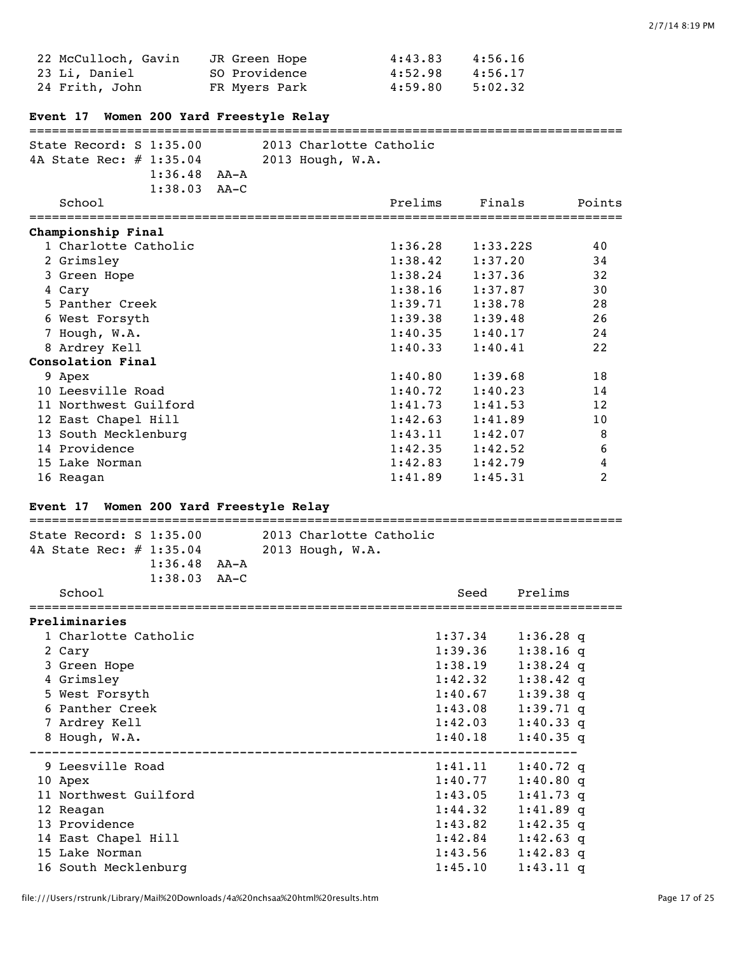| 22 McCulloch, Gavin | JR Green Hope | 4:43.83 | 4:56.16 |
|---------------------|---------------|---------|---------|
| 23 Li, Daniel       | SO Providence | 4:52.98 | 4:56.17 |
| 24 Frith, John      | FR Myers Park | 4:59.80 | 5:02.32 |

# **Event 17 Women 200 Yard Freestyle Relay**

| State Record: $S$ 1:35.00<br>4A State Rec: # 1:35.04<br>$1:36.48$ AA-A<br>$1:38.03$ AA-C<br>School | 2013 Charlotte Catholic<br>2013 Hough, W.A.<br>Prelims<br>Finals | Points |
|----------------------------------------------------------------------------------------------------|------------------------------------------------------------------|--------|
| Championship Final                                                                                 |                                                                  |        |
| 1 Charlotte Catholic                                                                               | 1:36.28<br>1:33.22S                                              | 40     |
| 2 Grimsley                                                                                         | 1:38.42<br>1:37.20                                               | 34     |
| 3 Green Hope                                                                                       | 1:38.24<br>1:37.36                                               | 32     |
| 4 Cary                                                                                             | 1:38.16<br>1:37.87                                               | 30     |
| 5 Panther Creek                                                                                    | 1:39.71<br>1:38.78                                               | 28     |
| 6 West Forsyth                                                                                     | 1:39.38<br>1:39.48                                               | 26     |
| 7 Hough, W.A.                                                                                      | 1:40.35<br>1:40.17                                               | 24     |
| 8 Ardrey Kell                                                                                      | 1:40.33<br>1:40.41                                               | 22     |
| Consolation Final                                                                                  |                                                                  |        |
| 9 Apex                                                                                             | 1:40.80<br>1:39.68                                               | 18     |
| 10 Leesville Road                                                                                  | 1:40.72<br>1:40.23                                               | 14     |
| 11 Northwest Guilford                                                                              | 1:41.73<br>1:41.53                                               | 12     |
| 12 East Chapel Hill                                                                                | 1:42.63<br>1:41.89                                               | 10     |
| 13 South Mecklenburg                                                                               | 1:43.11<br>1:42.07                                               | 8      |
| 14 Providence                                                                                      | 1:42.35<br>1:42.52                                               | 6      |
| 15 Lake Norman                                                                                     | 1:42.83<br>1:42.79                                               | 4      |
| 16 Reagan                                                                                          | 1:41.89<br>1:45.31                                               | 2      |

# **Event 17 Women 200 Yard Freestyle Relay**

| State Record: $S$ 1:35.00  | 2013 Charlotte Catholic |             |
|----------------------------|-------------------------|-------------|
| 4A State Rec: $\#$ 1:35.04 | 2013 Hough, W.A.        |             |
| $1:36.48$ $AA-A$           |                         |             |
| $1:38.03$ AA-C             |                         |             |
| School                     | Seed                    | Prelims     |
| Preliminaries              |                         |             |
| 1 Charlotte Catholic       | 1:37.34                 | $1:36.28$ q |
| 2 Cary                     | 1:39.36                 | $1:38.16$ q |
| 3 Green Hope               | 1:38.19                 | $1:38.24$ q |
| 4 Grimsley                 | 1:42.32                 | $1:38.42$ q |
| 5 West Forsyth             | 1:40.67                 | $1:39.38$ q |
| 6 Panther Creek            | 1:43.08                 | $1:39.71$ q |
| 7 Ardrey Kell              | 1:42.03                 | $1:40.33$ q |
| 8 Hough, W.A.              | 1:40.18                 | $1:40.35$ q |
| 9 Leesville Road           | 1:41.11                 | $1:40.72$ q |
| 10 Apex                    | 1:40.77                 | $1:40.80$ q |
| 11 Northwest Guilford      | 1:43.05                 | $1:41.73$ q |
| 12 Reagan                  | 1:44.32                 | $1:41.89$ q |
| 13 Providence              | 1:43.82                 | $1:42.35$ q |
| 14 East Chapel Hill        | 1:42.84                 | $1:42.63$ q |
| 15 Lake Norman             | 1:43.56                 |             |
|                            |                         | $1:42.83$ q |
| 16 South Mecklenburg       | 1:45.10                 | $1:43.11$ a |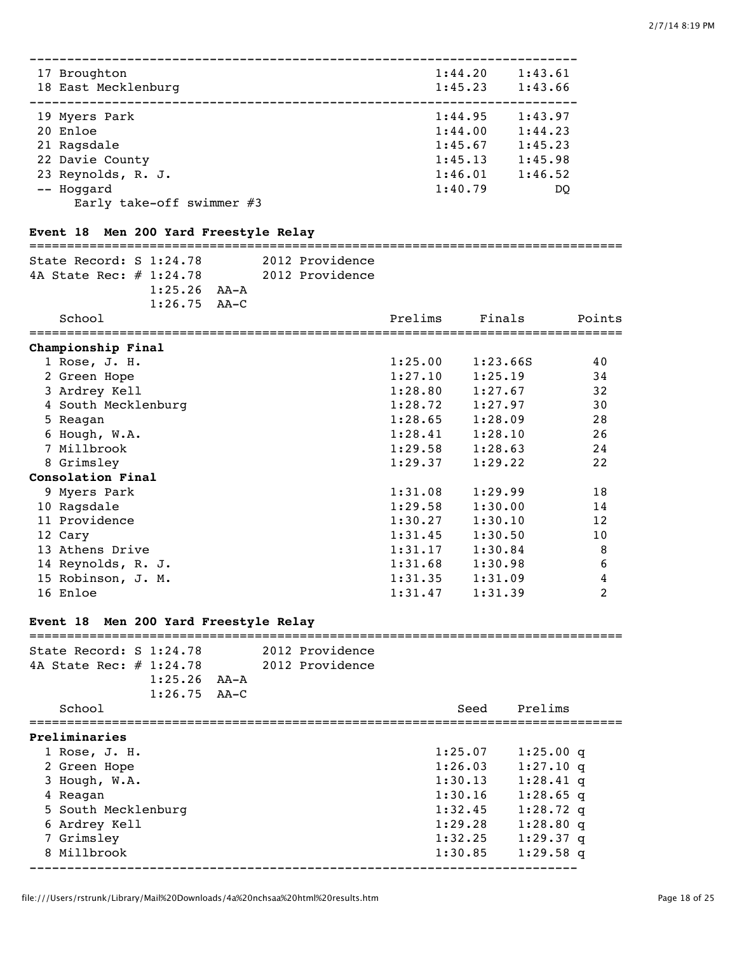| 17 Broughton<br>18 East Mecklenburg | 1:44.20<br>1:45.23 | 1:43.61<br>1:43.66 |
|-------------------------------------|--------------------|--------------------|
|                                     |                    |                    |
| 19 Myers Park                       | 1:44.95            | 1:43.97            |
| 20 Enloe                            | 1:44.00            | 1:44.23            |
| 21 Ragsdale                         | 1:45.67            | 1:45.23            |
| 22 Davie County                     | 1:45.13            | 1:45.98            |
| 23 Reynolds, R. J.                  | 1:46.01            | 1:46.52            |
| -- Hoqqard                          | 1:40.79            | DO                 |
| Early take-off swimmer $#3$         |                    |                    |

## **Event 18 Men 200 Yard Freestyle Relay**

# =============================================================================== State Record: S 1:24.78 2012 Providence 4A State Rec: # 1:24.78 2012 Providence 1:25.26 AA-A 1:26.75 AA-C

| School              | Prelims | Finals   | Points |
|---------------------|---------|----------|--------|
| Championship Final  |         |          |        |
| $1$ Rose, J. H.     | 1:25.00 | 1:23.66S | 40     |
| 2 Green Hope        | 1:27.10 | 1:25.19  | 34     |
| 3 Ardrey Kell       | 1:28.80 | 1:27.67  | 32     |
| 4 South Mecklenburg | 1:28.72 | 1:27.97  | 30     |
| 5 Reagan            | 1:28.65 | 1:28.09  | 28     |
| 6 Hough, W.A.       | 1:28.41 | 1:28.10  | 26     |
| 7 Millbrook         | 1:29.58 | 1:28.63  | 24     |
| 8 Grimsley          | 1:29.37 | 1:29.22  | 22     |
| Consolation Final   |         |          |        |
| 9 Myers Park        | 1:31.08 | 1:29.99  | 18     |
| 10 Ragsdale         | 1:29.58 | 1:30.00  | 14     |
| 11 Providence       | 1:30.27 | 1:30.10  | 12     |
| 12 Cary             | 1:31.45 | 1:30.50  | 10     |
| 13 Athens Drive     | 1:31.17 | 1:30.84  | 8      |
| 14 Reynolds, R. J.  | 1:31.68 | 1:30.98  | 6      |
| 15 Robinson, J. M.  | 1:31.35 | 1:31.09  | 4      |
| 16 Enloe            | 1:31.47 | 1:31.39  | 2      |

## **Event 18 Men 200 Yard Freestyle Relay**

| State Record: $S$ 1:24.78  |      | 2012 Providence |         |             |
|----------------------------|------|-----------------|---------|-------------|
| 4A State Rec: $\#$ 1:24.78 |      | 2012 Providence |         |             |
| 1:25.26                    | AA-A |                 |         |             |
| $1:26.75$ AA-C             |      |                 |         |             |
| School                     |      |                 | Seed    | Prelims     |
| Preliminaries              |      |                 |         |             |
| 1 Rose, J. H.              |      |                 | 1:25.07 | $1:25.00$ q |
| 2 Green Hope               |      |                 | 1:26.03 | $1:27.10$ q |
| 3 Hough, W.A.              |      |                 | 1:30.13 | $1:28.41$ q |
| 4 Reagan                   |      |                 | 1:30.16 | $1:28.65$ q |
| 5 South Mecklenburg        |      |                 | 1:32.45 | $1:28.72$ q |
| 6 Ardrey Kell              |      |                 | 1:29.28 | $1:28.80$ q |
| 7 Grimsley                 |      |                 | 1:32.25 | $1:29.37$ q |
| 8 Millbrook                |      |                 | 1:30.85 | $1:29.58$ a |
|                            |      |                 |         |             |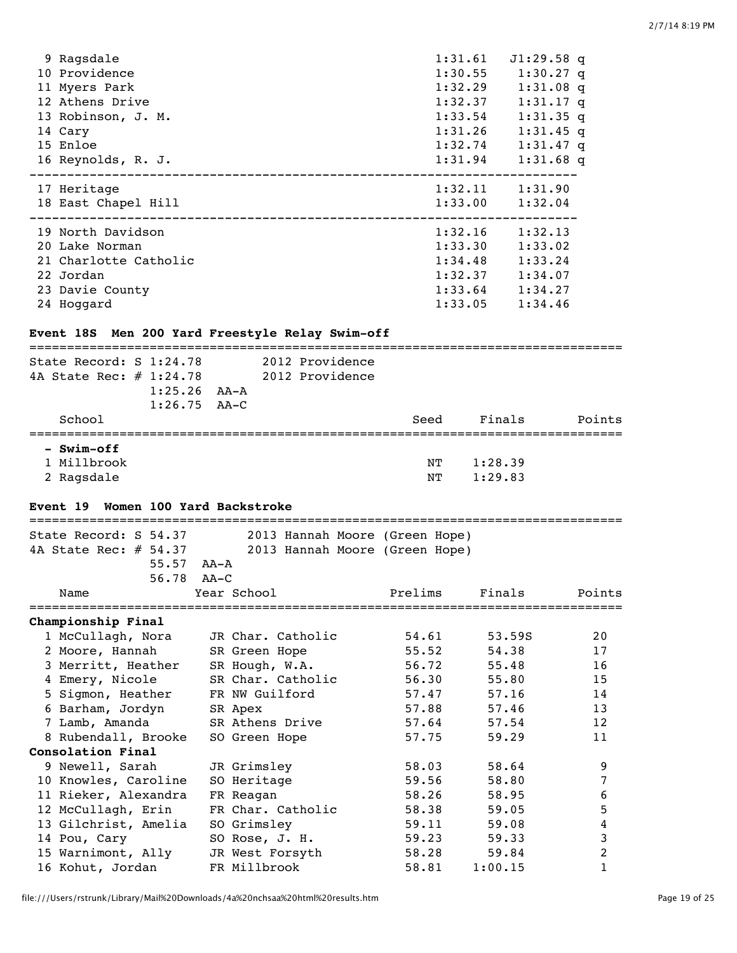| 9 Ragsdale                                                                                                                                                                                                                                                                                                                                                                                                                                                                                                                                                                   |  |  |         | 1:31.61 J1:29.58 q |
|------------------------------------------------------------------------------------------------------------------------------------------------------------------------------------------------------------------------------------------------------------------------------------------------------------------------------------------------------------------------------------------------------------------------------------------------------------------------------------------------------------------------------------------------------------------------------|--|--|---------|--------------------|
| 10 Providence                                                                                                                                                                                                                                                                                                                                                                                                                                                                                                                                                                |  |  |         | 1:30.55 1:30.27 q  |
| 11 Myers Park                                                                                                                                                                                                                                                                                                                                                                                                                                                                                                                                                                |  |  |         | 1:32.29 1:31.08 q  |
| 12 Athens Drive                                                                                                                                                                                                                                                                                                                                                                                                                                                                                                                                                              |  |  |         | 1:32.37 1:31.17 q  |
| 13 Robinson, J. M.                                                                                                                                                                                                                                                                                                                                                                                                                                                                                                                                                           |  |  | 1:33.54 | $1:31.35$ q        |
| 14 Cary                                                                                                                                                                                                                                                                                                                                                                                                                                                                                                                                                                      |  |  |         | 1:31.26 1:31.45 q  |
|                                                                                                                                                                                                                                                                                                                                                                                                                                                                                                                                                                              |  |  |         |                    |
|                                                                                                                                                                                                                                                                                                                                                                                                                                                                                                                                                                              |  |  |         |                    |
|                                                                                                                                                                                                                                                                                                                                                                                                                                                                                                                                                                              |  |  |         |                    |
|                                                                                                                                                                                                                                                                                                                                                                                                                                                                                                                                                                              |  |  |         |                    |
|                                                                                                                                                                                                                                                                                                                                                                                                                                                                                                                                                                              |  |  |         |                    |
|                                                                                                                                                                                                                                                                                                                                                                                                                                                                                                                                                                              |  |  |         | 1:33.02            |
|                                                                                                                                                                                                                                                                                                                                                                                                                                                                                                                                                                              |  |  |         |                    |
|                                                                                                                                                                                                                                                                                                                                                                                                                                                                                                                                                                              |  |  |         |                    |
|                                                                                                                                                                                                                                                                                                                                                                                                                                                                                                                                                                              |  |  |         |                    |
|                                                                                                                                                                                                                                                                                                                                                                                                                                                                                                                                                                              |  |  |         | 1:34.46            |
|                                                                                                                                                                                                                                                                                                                                                                                                                                                                                                                                                                              |  |  |         |                    |
| 15 Enloe<br>1:32.74 1:31.47 q<br>16 Reynolds, R. J.<br>1:31.94 1:31.68 q<br>17 Heritage<br>$1:32.11$ $1:31.90$<br>18 East Chapel Hill<br>$1:33.00$ $1:32.04$<br>19 North Davidson<br>$1:32.16$ $1:32.13$<br>1:33.30<br>20 Lake Norman<br>21 Charlotte Catholic<br>$1:34.48$ $1:33.24$<br>22 Jordan<br>$1:32.37$ $1:34.07$<br>23 Davie County<br>$1:33.64$ $1:34.27$<br>1:33.05<br>24 Hoggard<br>Event 18S Men 200 Yard Freestyle Relay Swim-off<br>===============<br>State Record: S 1:24.78 2012 Providence<br>4A State Rec: # 1:24.78 2012 Providence<br>$1:25.26$ $AA-A$ |  |  |         |                    |
|                                                                                                                                                                                                                                                                                                                                                                                                                                                                                                                                                                              |  |  |         |                    |
|                                                                                                                                                                                                                                                                                                                                                                                                                                                                                                                                                                              |  |  |         |                    |

| $1:26.75$ $AA-C$ |      |         |        |
|------------------|------|---------|--------|
| School           | Seed | Finals  | Points |
|                  |      |         |        |
| - Swim-off       |      |         |        |
| 1 Millbrook      | NT   | 1:28.39 |        |
| 2 Ragsdale       | NΤ   | 1:29.83 |        |

## **Event 19 Women 100 Yard Backstroke**

| State Record: S 54.37    | 2013 Hannah Moore (Green Hope)      |         |         |        |
|--------------------------|-------------------------------------|---------|---------|--------|
| 4A State Rec: $\#$ 54.37 | 2013 Hannah Moore (Green Hope)      |         |         |        |
| 55.57                    | AA-A                                |         |         |        |
| 56.78 AA-C               |                                     |         |         |        |
| Name                     | Year School                         | Prelims | Finals  | Points |
| Championship Final       |                                     |         |         |        |
|                          | 1 McCullagh, Nora JR Char. Catholic | 54.61   | 53.59S  | 20     |
| 2 Moore, Hannah          | SR Green Hope                       | 55.52   | 54.38   | 17     |
| 3 Merritt, Heather       | SR Hough, W.A.                      | 56.72   | 55.48   | 16     |
| 4 Emery, Nicole          | SR Char. Catholic                   | 56.30   | 55.80   | 15     |
| 5 Sigmon, Heather        | FR NW Guilford                      | 57.47   | 57.16   | 14     |
| 6 Barham, Jordyn         | SR Apex                             | 57.88   | 57.46   | 13     |
| 7 Lamb, Amanda           | SR Athens Drive                     | 57.64   | 57.54   | 12     |
| 8 Rubendall, Brooke      | SO Green Hope                       | 57.75   | 59.29   | 11     |
| Consolation Final        |                                     |         |         |        |
| 9 Newell, Sarah          | JR Grimsley                         | 58.03   | 58.64   | 9      |
| 10 Knowles, Caroline     | SO Heritage                         | 59.56   | 58.80   | 7      |
| 11 Rieker, Alexandra     | FR Reagan                           | 58.26   | 58.95   | 6      |
| 12 McCullagh, Erin       | FR Char. Catholic                   | 58.38   | 59.05   | 5      |
| 13 Gilchrist, Amelia     | SO Grimsley                         | 59.11   | 59.08   | 4      |
| 14 Pou, Cary             | SO Rose, J. H.                      | 59.23   | 59.33   | 3      |
| 15 Warnimont, Ally       | JR West Forsyth                     | 58.28   | 59.84   | 2      |
| 16 Kohut, Jordan         | FR Millbrook                        | 58.81   | 1:00.15 | 1      |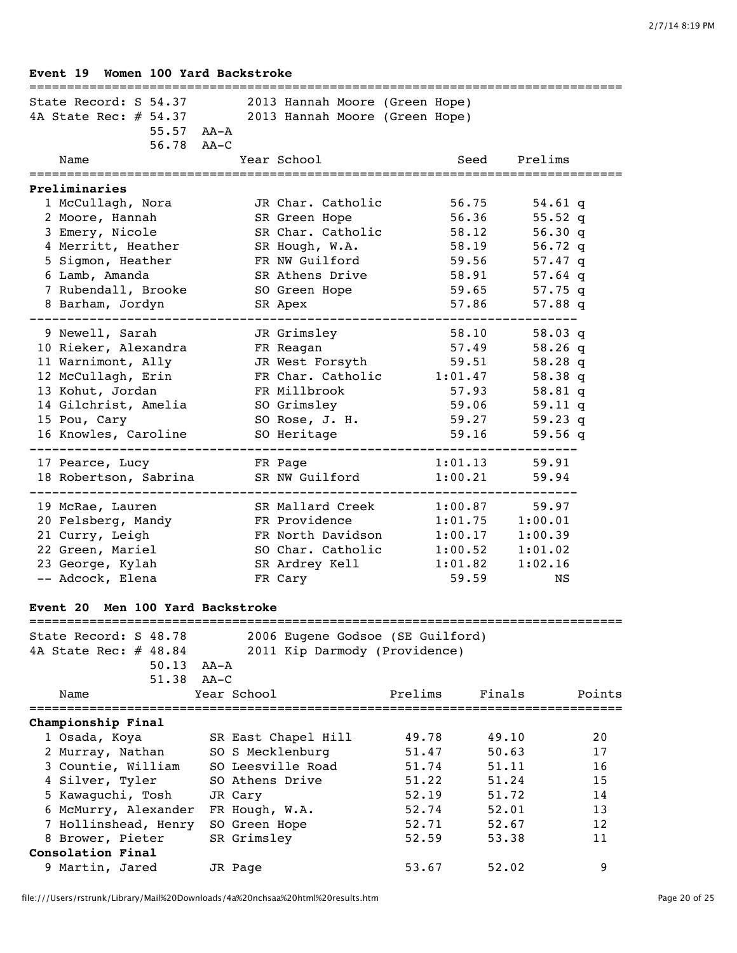# **Event 19 Women 100 Yard Backstroke** =============================================================================== State Record: S 54.37 2013 Hannah Moore (Green Hope) 4A State Rec: # 54.37 2013 Hannah Moore (Green Hope) 55.57 AA-A 56.78 AA-C Name Year School Seed Prelims =============================================================================== **Preliminaries** 1 McCullagh, Nora JR Char. Catholic 56.75 54.61 q 2 Moore, Hannah SR Green Hope 56.36 55.52 q 3 Emery, Nicole SR Char. Catholic 58.12 56.30 q 4 Merritt, Heather SR Hough, W.A. 58.19 56.72 q 5 Sigmon, Heather FR NW Guilford 59.56 57.47 q 6 Lamb, Amanda SR Athens Drive 58.91 57.64 q 7 Rubendall, Brooke SO Green Hope 59.65 57.75 q 8 Barham, Jordyn SR Apex 57.86 57.88 q ------------------------------------------------------------------------- 9 Newell, Sarah JR Grimsley 58.10 58.03 q 10 Rieker, Alexandra FR Reagan 57.49 58.26 q 11 Warnimont, Ally JR West Forsyth 59.51 58.28 q 12 McCullagh, Erin FR Char. Catholic 1:01.47 58.38 q 13 Kohut, Jordan FR Millbrook 57.93 58.81 q 14 Gilchrist, Amelia SO Grimsley 59.06 59.11 q 15 Pou, Cary SO Rose, J. H. 59.27 59.23 q 16 Knowles, Caroline 59 Heritage 59.16 59.56 q ------------------------------------------------------------------------- 17 Pearce, Lucy **FR Page 1:01.13** 59.91 18 Robertson, Sabrina SR NW Guilford 1:00.21 59.94 ------------------------------------------------------------------------- 19 McRae, Lauren SR Mallard Creek 1:00.87 59.97 20 Felsberg, Mandy FR Providence 1:01.75 1:00.01 21 Curry, Leigh FR North Davidson 1:00.17 1:00.39 22 Green, Mariel SO Char. Catholic 1:00.52 1:01.02 23 George, Kylah SR Ardrey Kell 1:01.82 1:02.16 -- Adcock, Elena FR Cary 59.59 NS **Event 20 Men 100 Yard Backstroke** =============================================================================== State Record: S 48.78 2006 Eugene Godsoe (SE Guilford) 4A State Rec: # 48.84 2011 Kip Darmody (Providence) 50.13 AA-A 51.38 AA-C Name Year School Prelims Finals Points =============================================================================== **Championship Final** 1 Osada, Koya SR East Chapel Hill 49.78 49.10 20 2 Murray, Nathan SO S Mecklenburg 51.47 50.63 17 3 Countie, William SO Leesville Road 51.74 51.11 16 4 Silver, Tyler 50 Athens Drive 51.22 51.24 15 5 Kawaguchi, Tosh JR Cary 52.19 51.72 14 6 McMurry, Alexander FR Hough, W.A. 52.74 52.01 13 7 Hollinshead, Henry SO Green Hope 52.71 52.67 12 8 Brower, Pieter SR Grimsley 52.59 53.38 11 **Consolation Final** 9 Martin, Jared JR Page 53.67 52.02 9

#### file:///Users/rstrunk/Library/Mail%20Downloads/4a%20nchsaa%20html%20results.htm Page 20 of 25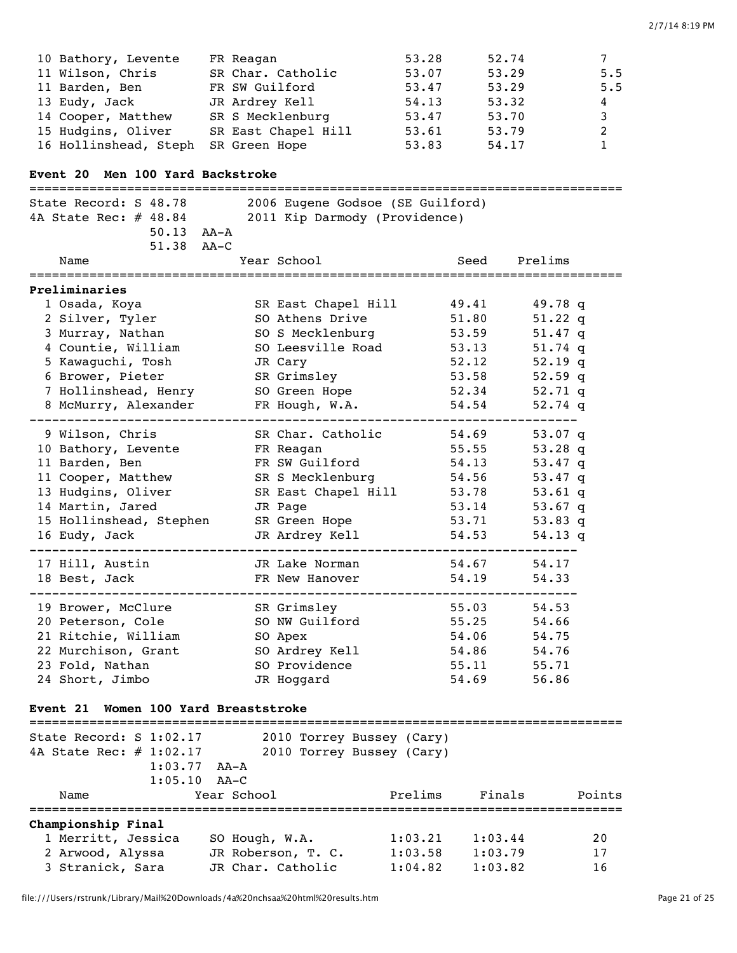| 10 Bathory, Levente   | FR Reagan           | 53.28 | 52.74 | 7                |
|-----------------------|---------------------|-------|-------|------------------|
| 11 Wilson, Chris      | SR Char. Catholic   | 53.07 | 53.29 | 5.5              |
| 11 Barden, Ben        | FR SW Guilford      | 53.47 | 53.29 | 5.5              |
| 13 Eudy, Jack         | JR Ardrey Kell      | 54.13 | 53.32 | $4\phantom{000}$ |
| 14 Cooper, Matthew    | SR S Mecklenburg    | 53.47 | 53.70 | 3                |
| 15 Hudgins, Oliver    | SR East Chapel Hill | 53.61 | 53.79 | 2                |
| 16 Hollinshead, Steph | SR Green Hope       | 53.83 | 54.17 |                  |

# **Event 20 Men 100 Yard Backstroke**

| State Record: S 48.78                    | 2006 Eugene Godsoe (SE Guilford)     |         |              |           |        |
|------------------------------------------|--------------------------------------|---------|--------------|-----------|--------|
| 4A State Rec: # 48.84                    | 2011 Kip Darmody (Providence)        |         |              |           |        |
| $50.13$ $AA - A$                         |                                      |         |              |           |        |
| 51.38 AA-C                               |                                      |         |              |           |        |
| Name                                     | Year School                          |         | Seed Prelims |           |        |
|                                          |                                      |         |              |           |        |
| Preliminaries                            |                                      |         |              |           |        |
| 1 Osada, Koya                            | SR East Chapel Hill                  |         | 49.41        | 49.78 $q$ |        |
| 2 Silver, Tyler                          | SO Athens Drive                      |         | 51.80        | 51.22 $q$ |        |
| 3 Murray, Nathan                         | SO S Mecklenburg                     |         | 53.59        | 51.47 $q$ |        |
| 4 Countie, William                       | SO Leesville Road                    |         | 53.13        | 51.74 $q$ |        |
| 5 Kawaguchi, Tosh                        | JR Cary                              |         | 52.12        | 52.19 $q$ |        |
| 6 Brower, Pieter                         | SR Grimsley                          |         | 53.58        | 52.59 $q$ |        |
| 7 Hollinshead, Henry                     | SO Green Hope                        |         | 52.34        | 52.71 $q$ |        |
| 8 McMurry, Alexander                     | FR Hough, W.A.                       |         | 54.54        | 52.74 $q$ |        |
|                                          | SR Char. Catholic                    |         |              |           |        |
| 9 Wilson, Chris                          |                                      |         | 54.69        | 53.07 q   |        |
| 10 Bathory, Levente                      | FR Reagan                            |         | 55.55        | 53.28 $q$ |        |
| 11 Barden, Ben                           | FR SW Guilford                       |         | 54.13        | 53.47 $q$ |        |
| 11 Cooper, Matthew                       | SR S Mecklenburg                     |         | 54.56        | 53.47 $q$ |        |
| 13 Hudgins, Oliver                       | SR East Chapel Hill                  |         | 53.78        | 53.61 $q$ |        |
| 14 Martin, Jared                         | JR Page                              |         | 53.14        | 53.67 $q$ |        |
| 15 Hollinshead, Stephen                  | SR Green Hope                        |         | 53.71        | 53.83 q   |        |
| 16 Eudy, Jack                            | JR Ardrey Kell                       |         | 54.53        | $54.13$ q |        |
| 17 Hill, Austin                          | JR Lake Norman                       |         | 54.67        | 54.17     |        |
| 18 Best, Jack                            | FR New Hanover                       |         | 54.19        | 54.33     |        |
| 19 Brower, McClure                       | SR Grimsley                          |         | 55.03        | 54.53     |        |
| 20 Peterson, Cole                        | SO NW Guilford                       |         | 55.25        | 54.66     |        |
| 21 Ritchie, William                      | SO Apex                              |         | 54.06        | 54.75     |        |
| 22 Murchison, Grant                      | SO Ardrey Kell                       |         | 54.86        | 54.76     |        |
| 23 Fold, Nathan                          | SO Providence                        |         | 55.11        | 55.71     |        |
| 24 Short, Jimbo                          | JR Hoqqard                           |         | 54.69        | 56.86     |        |
| Event 21 Women 100 Yard Breaststroke     |                                      |         |              |           |        |
| State Record: S 1:02.17                  | 2010 Torrey Bussey (Cary)            |         |              |           |        |
| 4A State Rec: # 1:02.17                  | 2010 Torrey Bussey (Cary)            |         |              |           |        |
| 1:03.77<br>AA-A                          |                                      |         |              |           |        |
| 1:05.10<br>$AA-C$                        |                                      |         |              |           |        |
| Year School<br>Name                      |                                      | Prelims | Finals       |           | Points |
|                                          |                                      |         |              |           |        |
| Championship Final<br>1 Merritt, Jessica |                                      | 1:03.21 | 1:03.44      |           | 20     |
| 2 Arwood, Alyssa                         | SO Hough, W.A.<br>JR Roberson, T. C. | 1:03.58 | 1:03.79      |           | 17     |
|                                          |                                      |         |              |           |        |

3 Stranick, Sara JR Char. Catholic 1:04.82 1:03.82 16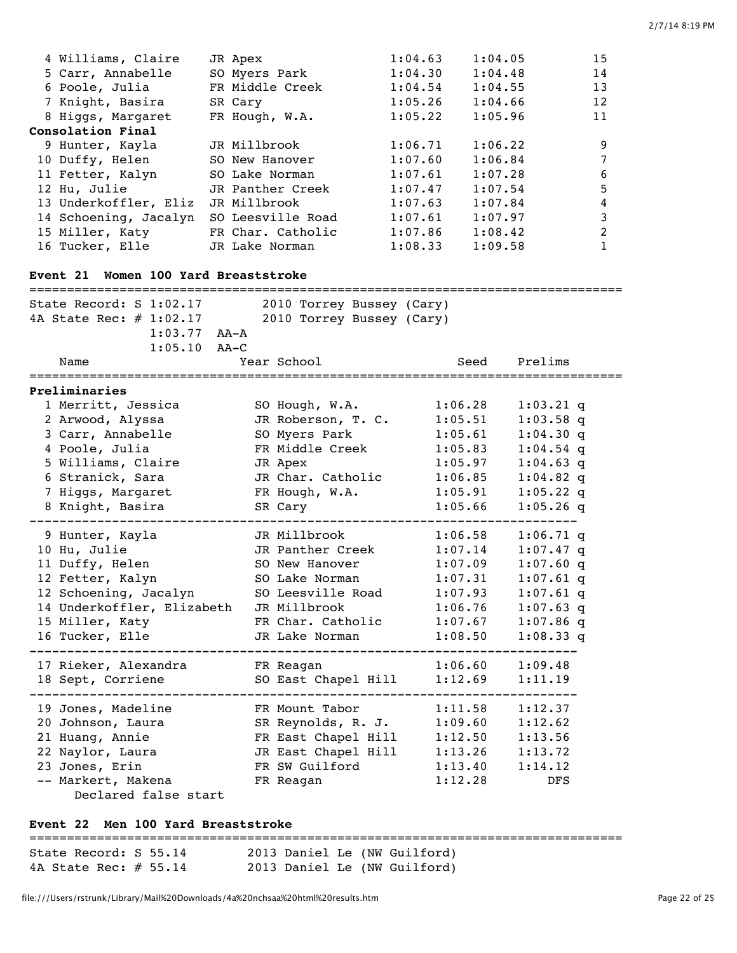| 4 Williams, Claire                      | JR Apex                       | 1:04.63 | 1:04.05                          | 15             |
|-----------------------------------------|-------------------------------|---------|----------------------------------|----------------|
| 5 Carr, Annabelle                       | SO Myers Park                 | 1:04.30 | 1:04.48                          | 14             |
| 6 Poole, Julia                          | FR Middle Creek               | 1:04.54 | 1:04.55                          | 13             |
| 7 Knight, Basira                        | SR Cary                       | 1:05.26 | 1:04.66                          | 12             |
| 8 Higgs, Margaret                       | FR Hough, W.A.                | 1:05.22 | 1:05.96                          | 11             |
| Consolation Final                       |                               |         |                                  |                |
| 9 Hunter, Kayla                         | JR Millbrook                  | 1:06.71 | 1:06.22                          | 9              |
| 10 Duffy, Helen                         | SO New Hanover                | 1:07.60 | 1:06.84                          | $\overline{7}$ |
| 11 Fetter, Kalyn                        | SO Lake Norman                | 1:07.61 | 1:07.28                          | 6              |
| 12 Hu, Julie                            | JR Panther Creek              | 1:07.47 | 1:07.54                          | 5              |
| 13 Underkoffler, Eliz                   | JR Millbrook                  | 1:07.63 | 1:07.84                          | $\overline{4}$ |
| 14 Schoening, Jacalyn SO Leesville Road |                               | 1:07.61 | 1:07.97                          | 3              |
| 15 Miller, Katy                         | FR Char. Catholic             | 1:07.86 | 1:08.42                          | $\overline{2}$ |
| 16 Tucker, Elle                         | JR Lake Norman                | 1:08.33 | 1:09.58                          | $\mathbf{1}$   |
|                                         |                               |         |                                  |                |
| Event 21 Women 100 Yard Breaststroke    |                               |         |                                  |                |
| State Record: S 1:02.17                 | 2010 Torrey Bussey (Cary)     |         |                                  |                |
| 4A State Rec: # 1:02.17                 | 2010 Torrey Bussey (Cary)     |         |                                  |                |
|                                         | $1:03.77$ AA-A                |         |                                  |                |
| $1:05.10$ AA-C                          |                               |         |                                  |                |
| Name                                    | Year School                   |         | Prelims<br>Seed                  |                |
|                                         |                               |         |                                  |                |
| Preliminaries                           |                               |         |                                  |                |
| 1 Merritt, Jessica                      | SO Hough, W.A.                |         | 1:06.28                          | $1:03.21$ q    |
| 2 Arwood, Alyssa                        | JR Roberson, T. C.            |         | 1:05.51                          | $1:03.58$ q    |
| 3 Carr, Annabelle                       | SO Myers Park                 |         | 1:05.61                          | $1:04.30$ q    |
| 4 Poole, Julia                          | FR Middle Creek               |         | 1:05.83                          | $1:04.54$ q    |
| 5 Williams, Claire                      | JR Apex                       |         | 1:05.97                          | $1:04.63$ q    |
| 6 Stranick, Sara                        | JR Char. Catholic             |         | 1:06.85                          | $1:04.82$ q    |
| 7 Higgs, Margaret                       | FR Hough, W.A.                |         | 1:05.91                          | $1:05.22$ q    |
| 8 Knight, Basira                        | SR Cary                       |         | 1:05.66                          | $1:05.26$ q    |
|                                         |                               |         |                                  |                |
| 9 Hunter, Kayla                         | JR Millbrook                  |         | 1:06.58                          | $1:06.71$ q    |
| 10 Hu, Julie                            | JR Panther Creek              |         | 1:07.14                          | $1:07.47$ q    |
| 11 Duffy, Helen                         | SO New Hanover                |         | 1:07.09                          | $1:07.60$ q    |
| 12 Fetter, Kalyn                        | SO Lake Norman                |         | 1:07.31                          | $1:07.61$ q    |
| 12 Schoening, Jacalyn                   | SO Leesville Road             |         | 1:07.93                          | $1:07.61$ q    |
| 14 Underkoffler, Elizabeth              | JR Millbrook                  |         | 1:06.76                          | $1:07.63$ q    |
| 15 Miller, Katy                         | FR Char. Catholic             |         | 1:07.67                          | $1:07.86$ q    |
| 16 Tucker, Elle                         | JR Lake Norman                |         | 1:08.50                          | $1:08.33$ q    |
| 17 Rieker, Alexandra FR Reagan          |                               |         | ----------<br>1:06.60<br>1:09.48 |                |
| 18 Sept, Corriene                       | SO East Chapel Hill           |         | 1:12.69<br>1:11.19               |                |
|                                         | ----------------------------- |         |                                  |                |
| 19 Jones, Madeline                      | FR Mount Tabor                |         | 1:11.58<br>1:12.37               |                |
| 20 Johnson, Laura                       | SR Reynolds, R. J.            |         | 1:09.60<br>1:12.62               |                |
| 21 Huang, Annie                         | FR East Chapel Hill           |         | 1:12.50<br>1:13.56               |                |
| 22 Naylor, Laura                        | JR East Chapel Hill           |         | 1:13.26<br>1:13.72               |                |
| 23 Jones, Erin                          | FR SW Guilford                |         | 1:13.40<br>1:14.12               |                |
| -- Markert, Makena                      | FR Reagan                     |         | 1:12.28                          | DFS            |
| Declared false start                    |                               |         |                                  |                |

## **Event 22 Men 100 Yard Breaststroke**

#### ===============================================================================

State Record: S 55.14 2013 Daniel Le (NW Guilford) 4A State Rec: # 55.14 2013 Daniel Le (NW Guilford)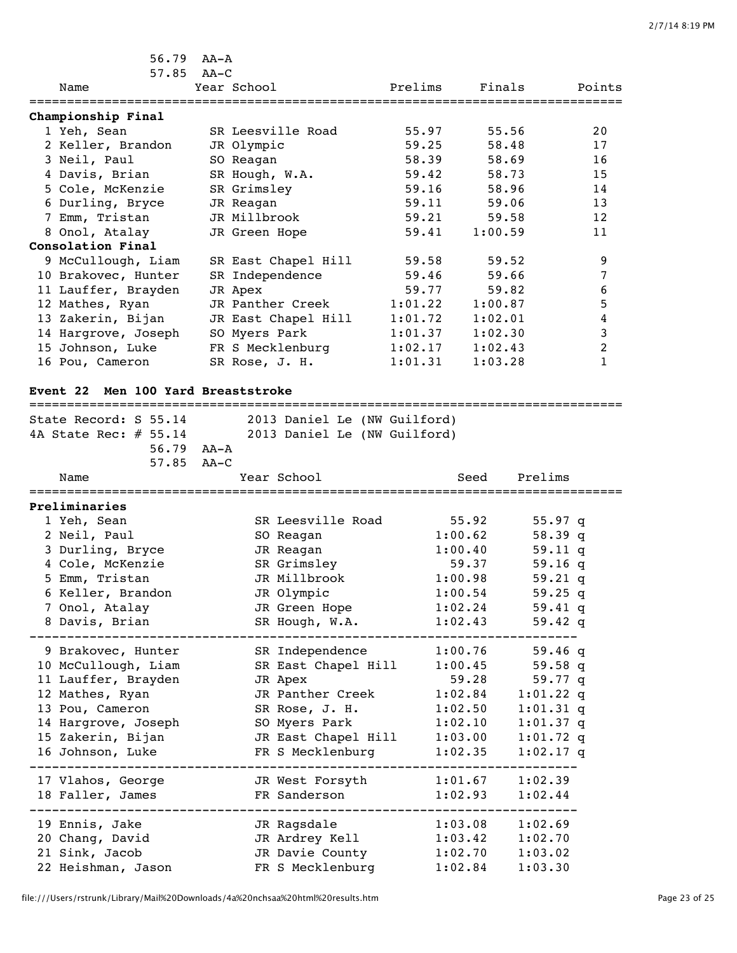| 56.79                                      | AA-A            |                              |         |         |                            |        |
|--------------------------------------------|-----------------|------------------------------|---------|---------|----------------------------|--------|
| $57.85$ $AA-C$                             |                 |                              |         |         |                            |        |
| Name                                       | Year School     |                              | Prelims | Finals  |                            | Points |
| Championship Final                         |                 |                              |         |         |                            |        |
| 1 Yeh, Sean                                |                 | SR Leesville Road            | 55.97   | 55.56   |                            | 20     |
| 2 Keller, Brandon                          | JR Olympic      |                              | 59.25   | 58.48   |                            | 17     |
| 3 Neil, Paul                               | SO Reagan       |                              | 58.39   | 58.69   |                            | 16     |
| 4 Davis, Brian                             | SR Hough, W.A.  |                              | 59.42   | 58.73   |                            | 15     |
| 5 Cole, McKenzie                           | SR Grimsley     |                              | 59.16   | 58.96   |                            | 14     |
| 6 Durling, Bryce                           | JR Reagan       |                              | 59.11   | 59.06   |                            | 13     |
| 7 Emm, Tristan                             | JR Millbrook    |                              | 59.21   | 59.58   |                            | 12     |
| 8 Onol, Atalay                             | JR Green Hope   |                              | 59.41   | 1:00.59 |                            | 11     |
| Consolation Final                          |                 |                              |         |         |                            |        |
| 9 McCullough, Liam                         |                 | SR East Chapel Hill          | 59.58   | 59.52   |                            | 9      |
| 10 Brakovec, Hunter                        | SR Independence |                              | 59.46   | 59.66   |                            | 7      |
| 11 Lauffer, Brayden                        | JR Apex         |                              | 59.77   | 59.82   |                            | 6      |
| 12 Mathes, Ryan                            |                 | JR Panther Creek             | 1:01.22 | 1:00.87 |                            | 5      |
| 13 Zakerin, Bijan                          |                 | JR East Chapel Hill          | 1:01.72 | 1:02.01 |                            | 4      |
| 14 Hargrove, Joseph                        | SO Myers Park   |                              | 1:01.37 | 1:02.30 |                            | 3      |
| 15 Johnson, Luke                           |                 | FR S Mecklenburg             | 1:02.17 | 1:02.43 |                            | 2      |
| 16 Pou, Cameron                            | SR Rose, J. H.  |                              | 1:01.31 | 1:03.28 |                            | 1      |
| Men 100 Yard Breaststroke<br>Event 22      |                 |                              |         |         |                            |        |
| State Record: S 55.14                      |                 | 2013 Daniel Le (NW Guilford) |         |         |                            |        |
| 4A State Rec: $\#$ 55.14                   |                 | 2013 Daniel Le (NW Guilford) |         |         |                            |        |
| 56.79 AA-A                                 |                 |                              |         |         |                            |        |
| 57.85                                      | $AA-C$          |                              |         |         |                            |        |
| Name                                       |                 | Year School                  |         | Seed    | Prelims                    |        |
| Preliminaries                              |                 |                              |         |         |                            |        |
| 1 Yeh, Sean                                |                 | SR Leesville Road            |         | 55.92   | $55.97$ q                  |        |
| 2 Neil, Paul                               |                 | SO Reagan                    | 1:00.62 |         | 58.39 q                    |        |
| 3 Durling, Bryce                           |                 | JR Reagan                    | 1:00.40 |         | $59.11$ q                  |        |
| 4 Cole, McKenzie                           |                 | SR Grimsley                  |         | 59.37   | 59.16q                     |        |
| 5 Emm, Tristan                             |                 | JR Millbrook                 | 1:00.98 |         | 59.21 q                    |        |
| 6 Keller, Brandon                          |                 | JR Olympic                   |         | 1:00.54 | 59.25 q                    |        |
| 7 Onol, Atalay                             |                 | JR Green Hope                |         | 1:02.24 | 59.41 q                    |        |
| 8 Davis, Brian                             |                 | SR Hough, W.A.               |         | 1:02.43 | 59.42 q                    |        |
|                                            |                 | SR Independence 1:00.76      |         |         | 59.46q                     |        |
| 9 Brakovec, Hunter                         |                 | SR East Chapel Hill 1:00.45  |         |         | 59.58 q                    |        |
| 10 McCullough, Liam<br>11 Lauffer, Brayden |                 |                              |         | 59.28   | 59.77 q                    |        |
| 12 Mathes, Ryan                            |                 | JR Apex<br>JR Panther Creek  |         | 1:02.84 |                            |        |
| 13 Pou, Cameron                            |                 | SR Rose, J. H.               |         | 1:02.50 | $1:01.22$ q<br>$1:01.31$ q |        |
| 14 Hargrove, Joseph                        |                 | SO Myers Park                |         | 1:02.10 | $1:01.37$ q                |        |
| 15 Zakerin, Bijan                          |                 | JR East Chapel Hill 1:03.00  |         |         | $1:01.72$ q                |        |
| 16 Johnson, Luke                           |                 | FR S Mecklenburg 1:02.35     |         |         | $1:02.17$ q                |        |
|                                            |                 |                              |         |         |                            |        |
| 17 Vlahos, George                          |                 | JR West Forsyth 1:01.67      |         |         | 1:02.39                    |        |
| 18 Faller, James                           |                 | FR Sanderson                 |         | 1:02.93 | 1:02.44                    |        |
| 19 Ennis, Jake                             |                 | JR Ragsdale                  |         | 1:03.08 | 1:02.69                    |        |
| 20 Chang, David                            |                 | JR Ardrey Kell               |         | 1:03.42 | 1:02.70                    |        |
|                                            |                 |                              |         |         |                            |        |
| 21 Sink, Jacob                             |                 | JR Davie County              |         | 1:02.70 | 1:03.02                    |        |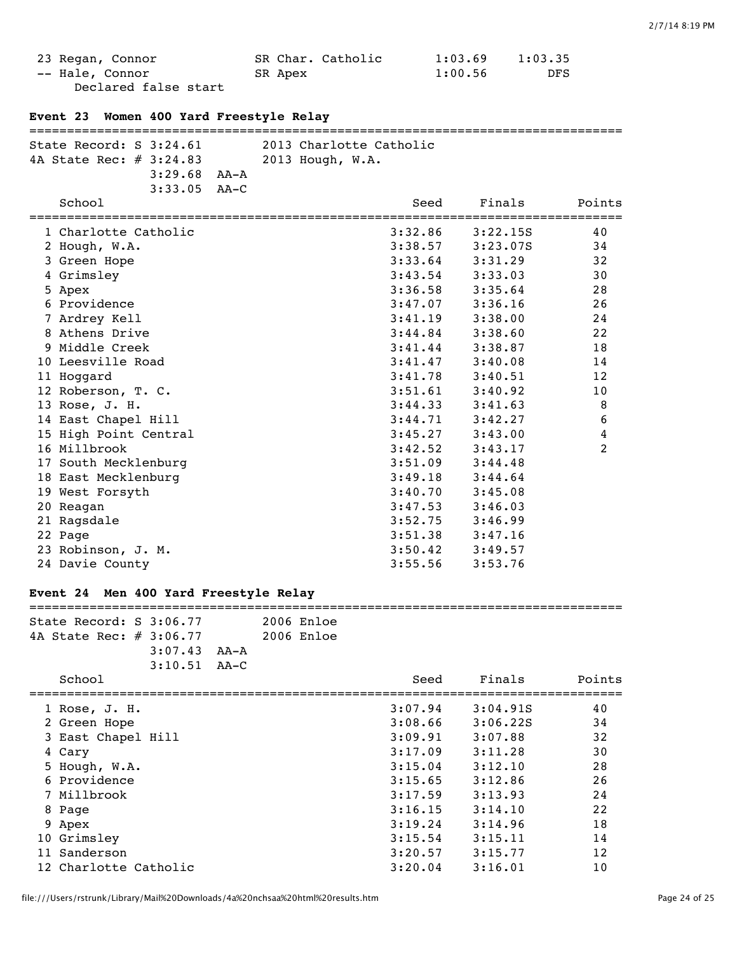| 23 Regan, Connor     | SR Char. Catholic | 1:03.69 | 1:03.35 |
|----------------------|-------------------|---------|---------|
| -- Hale, Connor      | SR Apex           | 1:00.56 | DFS.    |
| Declared false start |                   |         |         |

| Event 23 Women 400 Yard Freestyle Relay         |                                      |  |                                                                     |                     |
|-------------------------------------------------|--------------------------------------|--|---------------------------------------------------------------------|---------------------|
| 4A State Rec: # 3:24.83                         | $3:29.68$ $AA - A$<br>$3:33.05$ AA-C |  | State Record: S 3:24.61 2013 Charlotte Catholic<br>2013 Hough, W.A. |                     |
| School                                          |                                      |  | Finals<br>Seed                                                      | Points              |
| 1 Charlotte Catholic<br>2 Hough, W.A.           |                                      |  | 3:32.86<br>3:22.15S<br>3:38.57<br>3:23.07S                          | 40<br>34            |
| 3 Green Hope<br>4 Grimsley                      |                                      |  | 3:33.64<br>3:31.29<br>3:43.54<br>3:33.03                            | 32<br>30            |
| 5 Apex<br>6 Providence                          |                                      |  | 3:36.58<br>3:35.64<br>3:47.07<br>3:36.16                            | 28<br>26            |
| 7 Ardrey Kell<br>8 Athens Drive                 |                                      |  | 3:41.19<br>3:38.00<br>3:44.84<br>3:38.60                            | 24<br>22            |
| 9 Middle Creek<br>10 Leesville Road             |                                      |  | 3:41.44<br>3:38.87<br>3:41.47<br>3:40.08                            | 18<br>14            |
| 11 Hoqqard<br>12 Roberson, T. C.                |                                      |  | 3:41.78<br>3:40.51<br>3:51.61<br>3:40.92                            | 12<br>10            |
| 13 Rose, J. H.<br>14 East Chapel Hill           |                                      |  | 3:44.33<br>3:41.63<br>3:44.71<br>3:42.27                            | 8<br>6              |
| 15 High Point Central<br>16 Millbrook           |                                      |  | 3:45.27<br>3:43.00<br>3:42.52<br>3:43.17                            | 4<br>$\overline{2}$ |
| 17 South Mecklenburg                            |                                      |  | 3:51.09<br>3:44.48                                                  |                     |
| 18 East Mecklenburg<br>19 West Forsyth          |                                      |  | 3:49.18<br>3:44.64<br>$3:40.70$ $3:45.08$                           |                     |
| 20 Reagan<br>$\sim$ $\sim$ $\sim$ $\sim$ $\sim$ |                                      |  | 3:46.03<br>3:47.53                                                  |                     |

| 21 Ragsdale        | 3:52.75 | 3:46.99 |
|--------------------|---------|---------|
| 22 Page            | 3:51.38 | 3:47.16 |
| 23 Robinson, J. M. | 3:50.42 | 3:49.57 |
| 24 Davie County    | 3:55.56 | 3:53.76 |
|                    |         |         |

# **Event 24 Men 400 Yard Freestyle Relay**

| State Record: $S$ 3:06.77 |                  |  | 2006 Enloe |
|---------------------------|------------------|--|------------|
| 4A State Rec: # 3:06.77   |                  |  | 2006 Enloe |
|                           | $3:07.43$ $AA-A$ |  |            |
|                           | $3:10.51$ $AA-C$ |  |            |

| School                | Seed    | Finals   | Points |
|-----------------------|---------|----------|--------|
| 1 Rose, J. H.         | 3:07.94 | 3:04.91S | 40     |
| 2 Green Hope          | 3:08.66 | 3:06.22S | 34     |
| 3 East Chapel Hill    | 3:09.91 | 3:07.88  | 32     |
| 4 Cary                | 3:17.09 | 3:11.28  | 30     |
| 5 Hough, W.A.         | 3:15.04 | 3:12.10  | 28     |
| 6 Providence          | 3:15.65 | 3:12.86  | 26     |
| 7 Millbrook           | 3:17.59 | 3:13.93  | 24     |
| 8 Page                | 3:16.15 | 3:14.10  | 22     |
| 9 Apex                | 3:19.24 | 3:14.96  | 18     |
| 10 Grimsley           | 3:15.54 | 3:15.11  | 14     |
| 11 Sanderson          | 3:20.57 | 3:15.77  | 12     |
| 12 Charlotte Catholic | 3:20.04 | 3:16.01  | 10     |